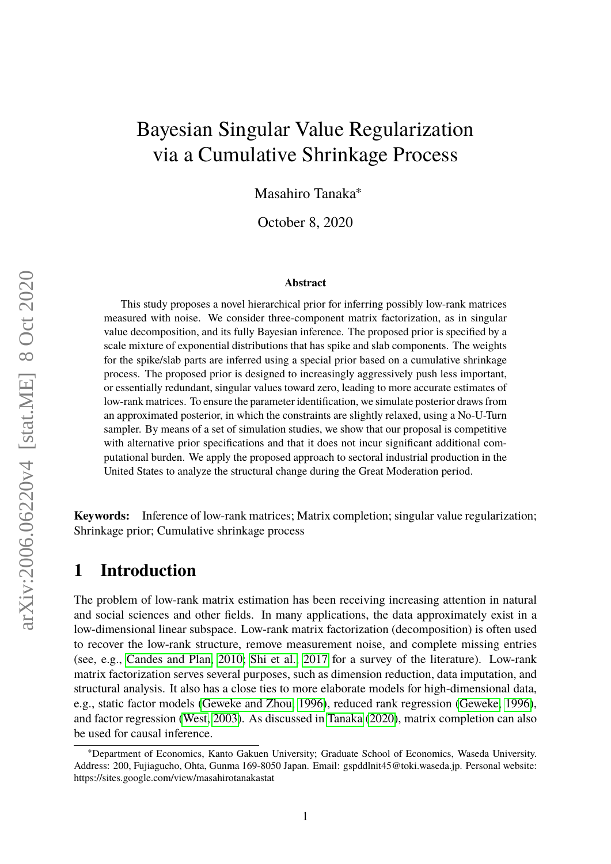# Bayesian Singular Value Regularization via a Cumulative Shrinkage Process

Masahiro Tanaka<sup>∗</sup>

October 8, 2020

#### **Abstract**

This study proposes a novel hierarchical prior for inferring possibly low-rank matrices measured with noise. We consider three-component matrix factorization, as in singular value decomposition, and its fully Bayesian inference. The proposed prior is specified by a scale mixture of exponential distributions that has spike and slab components. The weights for the spike/slab parts are inferred using a special prior based on a cumulative shrinkage process. The proposed prior is designed to increasingly aggressively push less important, or essentially redundant, singular values toward zero, leading to more accurate estimates of low-rank matrices. To ensure the parameter identification, we simulate posterior draws from an approximated posterior, in which the constraints are slightly relaxed, using a No-U-Turn sampler. By means of a set of simulation studies, we show that our proposal is competitive with alternative prior specifications and that it does not incur significant additional computational burden. We apply the proposed approach to sectoral industrial production in the United States to analyze the structural change during the Great Moderation period.

**Keywords:** Inference of low-rank matrices; Matrix completion; singular value regularization; Shrinkage prior; Cumulative shrinkage process

### **1 Introduction**

The problem of low-rank matrix estimation has been receiving increasing attention in natural and social sciences and other fields. In many applications, the data approximately exist in a low-dimensional linear subspace. Low-rank matrix factorization (decomposition) is often used to recover the low-rank structure, remove measurement noise, and complete missing entries (see, e.g., [Candes and Plan, 2010;](#page-13-0) [Shi et al., 2017](#page-14-0) for a survey of the literature). Low-rank matrix factorization serves several purposes, such as dimension reduction, data imputation, and structural analysis. It also has a close ties to more elaborate models for high-dimensional data, e.g., static factor models [\(Geweke and Zhou, 1996\)](#page-13-1), reduced rank regression [\(Geweke, 1996\)](#page-13-2), and factor regression [\(West, 2003\)](#page-15-0). As discussed in [Tanaka](#page-15-1) [\(2020\)](#page-15-1), matrix completion can also be used for causal inference.

<sup>∗</sup>Department of Economics, Kanto Gakuen University; Graduate School of Economics, Waseda University. Address: 200, Fujiagucho, Ohta, Gunma 169-8050 Japan. Email: gspddlnit45@toki.waseda.jp. Personal website: https://sites.google.com/view/masahirotanakastat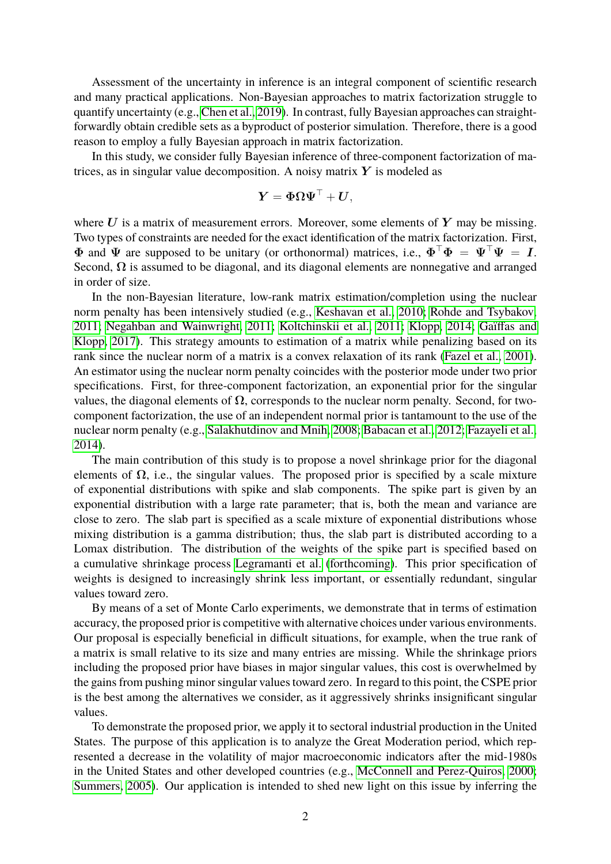Assessment of the uncertainty in inference is an integral component of scientific research and many practical applications. Non-Bayesian approaches to matrix factorization struggle to quantify uncertainty (e.g., [Chen et al., 2019\)](#page-13-3). In contrast, fully Bayesian approaches can straightforwardly obtain credible sets as a byproduct of posterior simulation. Therefore, there is a good reason to employ a fully Bayesian approach in matrix factorization.

In this study, we consider fully Bayesian inference of three-component factorization of matrices, as in singular value decomposition. A noisy matrix  $Y$  is modeled as

$$
\boldsymbol{Y} = \boldsymbol{\Phi} \boldsymbol{\Omega} \boldsymbol{\Psi}^\top + \boldsymbol{U},
$$

where  $U$  is a matrix of measurement errors. Moreover, some elements of  $Y$  may be missing. Two types of constraints are needed for the exact identification of the matrix factorization. First,  $\Phi$  and  $\Psi$  are supposed to be unitary (or orthonormal) matrices, i.e.,  $\Phi^{\top}\Phi = \Psi^{\top}\Psi = I$ . Second,  $\Omega$  is assumed to be diagonal, and its diagonal elements are nonnegative and arranged in order of size.

In the non-Bayesian literature, low-rank matrix estimation/completion using the nuclear norm penalty has been intensively studied (e.g., [Keshavan et al., 2010;](#page-14-1) [Rohde and Tsybakov,](#page-14-2) [2011;](#page-14-2) [Negahban and Wainwright, 2011;](#page-14-3) [Koltchinskii et al., 2011;](#page-14-4) [Klopp, 2014;](#page-14-5) [Gaïffas and](#page-13-4) [Klopp, 2017\)](#page-13-4). This strategy amounts to estimation of a matrix while penalizing based on its rank since the nuclear norm of a matrix is a convex relaxation of its rank [\(Fazel et al., 2001\)](#page-13-5). An estimator using the nuclear norm penalty coincides with the posterior mode under two prior specifications. First, for three-component factorization, an exponential prior for the singular values, the diagonal elements of  $\Omega$ , corresponds to the nuclear norm penalty. Second, for twocomponent factorization, the use of an independent normal prior is tantamount to the use of the nuclear norm penalty (e.g., [Salakhutdinov and Mnih, 2008;](#page-14-6) [Babacan et al., 2012;](#page-12-0) [Fazayeli et al.,](#page-13-6) [2014\)](#page-13-6).

The main contribution of this study is to propose a novel shrinkage prior for the diagonal elements of  $\Omega$ , i.e., the singular values. The proposed prior is specified by a scale mixture of exponential distributions with spike and slab components. The spike part is given by an exponential distribution with a large rate parameter; that is, both the mean and variance are close to zero. The slab part is specified as a scale mixture of exponential distributions whose mixing distribution is a gamma distribution; thus, the slab part is distributed according to a Lomax distribution. The distribution of the weights of the spike part is specified based on a cumulative shrinkage process [Legramanti et al.](#page-14-7) [\(forthcoming\)](#page-14-7). This prior specification of weights is designed to increasingly shrink less important, or essentially redundant, singular values toward zero.

By means of a set of Monte Carlo experiments, we demonstrate that in terms of estimation accuracy, the proposed prior is competitive with alternative choices under various environments. Our proposal is especially beneficial in difficult situations, for example, when the true rank of a matrix is small relative to its size and many entries are missing. While the shrinkage priors including the proposed prior have biases in major singular values, this cost is overwhelmed by the gains from pushing minor singular values toward zero. In regard to this point, the CSPE prior is the best among the alternatives we consider, as it aggressively shrinks insignificant singular values.

To demonstrate the proposed prior, we apply it to sectoral industrial production in the United States. The purpose of this application is to analyze the Great Moderation period, which represented a decrease in the volatility of major macroeconomic indicators after the mid-1980s in the United States and other developed countries (e.g., [McConnell and Perez-Quiros, 2000;](#page-14-8) [Summers, 2005\)](#page-15-2). Our application is intended to shed new light on this issue by inferring the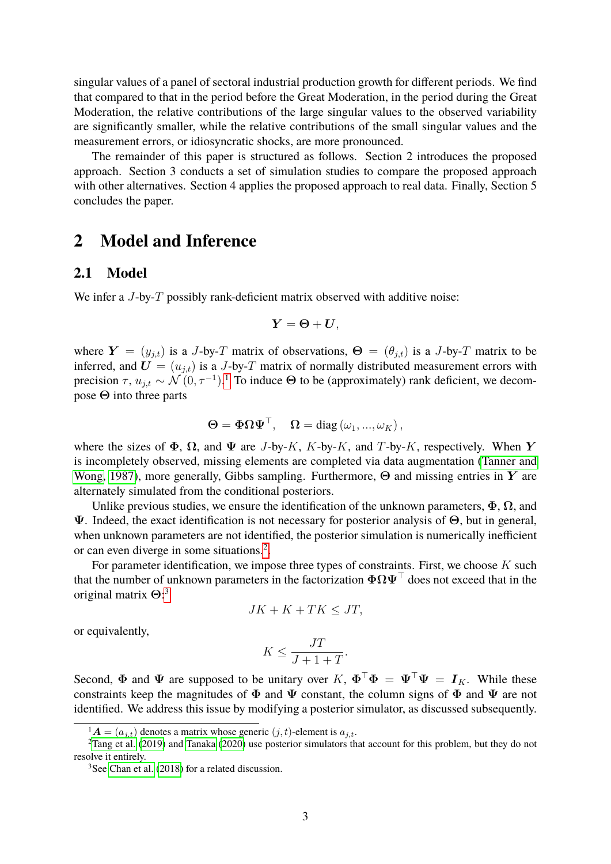singular values of a panel of sectoral industrial production growth for different periods. We find that compared to that in the period before the Great Moderation, in the period during the Great Moderation, the relative contributions of the large singular values to the observed variability are significantly smaller, while the relative contributions of the small singular values and the measurement errors, or idiosyncratic shocks, are more pronounced.

The remainder of this paper is structured as follows. Section 2 introduces the proposed approach. Section 3 conducts a set of simulation studies to compare the proposed approach with other alternatives. Section 4 applies the proposed approach to real data. Finally, Section 5 concludes the paper.

### **2 Model and Inference**

### **2.1 Model**

We infer a J-by-T possibly rank-deficient matrix observed with additive noise:

$$
\boldsymbol{Y} = \boldsymbol{\Theta} + \boldsymbol{U},
$$

where  $Y = (y_{j,t})$  is a J-by-T matrix of observations,  $\Theta = (\theta_{j,t})$  is a J-by-T matrix to be inferred, and  $\mathbf{U} = (u_{j,t})$  is a J-by-T matrix of normally distributed measurement errors with precision  $\tau$ ,  $u_{j,t} \sim \mathcal{N}(0, \tau^{-1})$  $u_{j,t} \sim \mathcal{N}(0, \tau^{-1})$  $u_{j,t} \sim \mathcal{N}(0, \tau^{-1})$ .<sup>1</sup> To induce  $\Theta$  to be (approximately) rank deficient, we decompose  $\Theta$  into three parts

$$
\boldsymbol{\Theta} = \boldsymbol{\Phi} \boldsymbol{\Omega} \boldsymbol{\Psi}^\top, \quad \boldsymbol{\Omega} = \text{diag}(\omega_1, ..., \omega_K),
$$

where the sizes of  $\Phi$ ,  $\Omega$ , and  $\Psi$  are *J*-by-*K*, *K*-by-*K*, and *T*-by-*K*, respectively. When Y is incompletely observed, missing elements are completed via data augmentation [\(Tanner and](#page-15-3) [Wong, 1987\)](#page-15-3), more generally, Gibbs sampling. Furthermore,  $\Theta$  and missing entries in Y are alternately simulated from the conditional posteriors.

Unlike previous studies, we ensure the identification of the unknown parameters,  $\Phi$ ,  $\Omega$ , and Ψ. Indeed, the exact identification is not necessary for posterior analysis of Θ, but in general, when unknown parameters are not identified, the posterior simulation is numerically inefficient or can even diverge in some situations.<sup>[2](#page-2-1)</sup>.

For parameter identification, we impose three types of constraints. First, we choose  $K$  such that the number of unknown parameters in the factorization  $\Phi \Omega \Psi^\top$  does not exceed that in the original matrix  $\Theta$ :<sup>[3](#page-2-2)</sup>

$$
JK + K + TK \le JT,
$$

or equivalently,

$$
K \le \frac{JT}{J+1+T}.
$$

Second,  $\Phi$  and  $\Psi$  are supposed to be unitary over  $K$ ,  $\Phi^{\top}\Phi = \Psi^{\top}\Psi = I_K$ . While these constraints keep the magnitudes of  $\Phi$  and  $\Psi$  constant, the column signs of  $\Phi$  and  $\Psi$  are not identified. We address this issue by modifying a posterior simulator, as discussed subsequently.

<span id="page-2-1"></span><span id="page-2-0"></span> $1_A = (a_{i,t})$  denotes a matrix whose generic  $(j, t)$ -element is  $a_{i,t}$ .

<sup>&</sup>lt;sup>2</sup>[Tang et al.](#page-15-4) [\(2019\)](#page-15-4) and [Tanaka](#page-15-1) [\(2020\)](#page-15-1) use posterior simulators that account for this problem, but they do not resolve it entirely.

<span id="page-2-2"></span><sup>3</sup>See [Chan et al.](#page-13-7) [\(2018\)](#page-13-7) for a related discussion.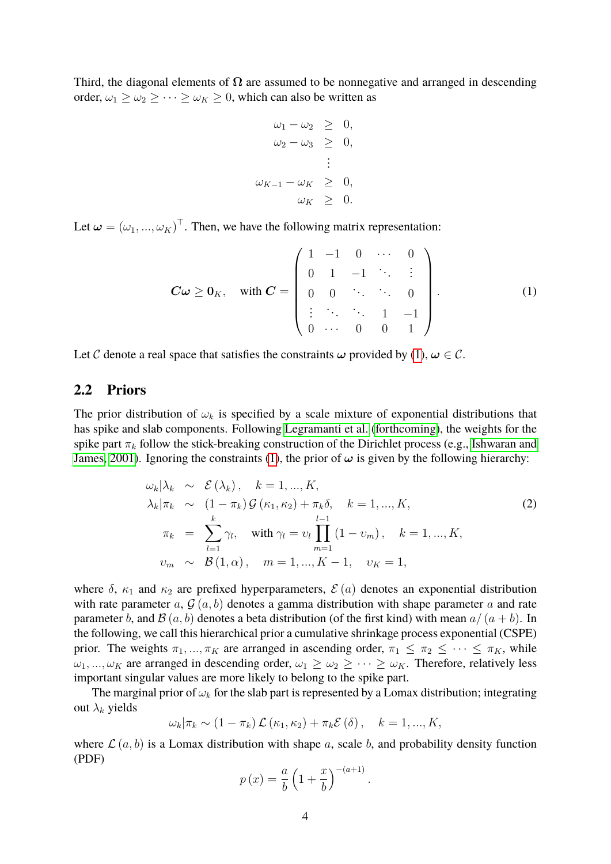Third, the diagonal elements of  $\Omega$  are assumed to be nonnegative and arranged in descending order,  $\omega_1 \geq \omega_2 \geq \cdots \geq \omega_K \geq 0$ , which can also be written as

$$
\omega_1 - \omega_2 \geq 0,
$$
  
\n
$$
\omega_2 - \omega_3 \geq 0,
$$
  
\n
$$
\vdots
$$
  
\n
$$
\omega_{K-1} - \omega_K \geq 0,
$$
  
\n
$$
\omega_K \geq 0.
$$

Let  $\boldsymbol{\omega} = (\omega_1, ..., \omega_K)^{\top}$ . Then, we have the following matrix representation:

<span id="page-3-0"></span>
$$
\mathbf{C}\boldsymbol{\omega} \ge \mathbf{0}_K, \quad \text{with } \mathbf{C} = \begin{pmatrix} 1 & -1 & 0 & \cdots & 0 \\ 0 & 1 & -1 & \ddots & \vdots \\ 0 & 0 & \ddots & \ddots & 0 \\ \vdots & \ddots & \ddots & 1 & -1 \\ 0 & \cdots & 0 & 0 & 1 \end{pmatrix}.
$$
 (1)

Let C denote a real space that satisfies the constraints  $\omega$  provided by [\(1\)](#page-3-0),  $\omega \in \mathcal{C}$ .

### **2.2 Priors**

The prior distribution of  $\omega_k$  is specified by a scale mixture of exponential distributions that has spike and slab components. Following [Legramanti et al.](#page-14-7) [\(forthcoming\)](#page-14-7), the weights for the spike part  $\pi_k$  follow the stick-breaking construction of the Dirichlet process (e.g., [Ishwaran and](#page-14-9) [James, 2001\)](#page-14-9). Ignoring the constraints [\(1\)](#page-3-0), the prior of  $\omega$  is given by the following hierarchy:

<span id="page-3-1"></span>
$$
\omega_{k}|\lambda_{k} \sim \mathcal{E}(\lambda_{k}), \quad k = 1, ..., K, \n\lambda_{k}|\pi_{k} \sim (1 - \pi_{k})\mathcal{G}(\kappa_{1}, \kappa_{2}) + \pi_{k}\delta, \quad k = 1, ..., K, \n\pi_{k} = \sum_{l=1}^{k} \gamma_{l}, \quad \text{with } \gamma_{l} = \upsilon_{l} \prod_{m=1}^{l-1} (1 - \upsilon_{m}), \quad k = 1, ..., K, \n\upsilon_{m} \sim \mathcal{B}(1, \alpha), \quad m = 1, ..., K - 1, \quad \upsilon_{K} = 1,
$$
\n(2)

where  $\delta$ ,  $\kappa_1$  and  $\kappa_2$  are prefixed hyperparameters,  $\mathcal{E}(a)$  denotes an exponential distribution with rate parameter a,  $\mathcal{G}(a, b)$  denotes a gamma distribution with shape parameter a and rate parameter b, and  $\mathcal{B}(a, b)$  denotes a beta distribution (of the first kind) with mean  $a/(a + b)$ . In the following, we call this hierarchical prior a cumulative shrinkage process exponential (CSPE) prior. The weights  $\pi_1, ..., \pi_K$  are arranged in ascending order,  $\pi_1 \leq \pi_2 \leq ... \leq \pi_K$ , while  $\omega_1, ..., \omega_K$  are arranged in descending order,  $\omega_1 \geq \omega_2 \geq ... \geq \omega_K$ . Therefore, relatively less important singular values are more likely to belong to the spike part.

The marginal prior of  $\omega_k$  for the slab part is represented by a Lomax distribution; integrating out  $\lambda_k$  yields

$$
\omega_k|\pi_k \sim (1-\pi_k)\mathcal{L}(\kappa_1,\kappa_2) + \pi_k \mathcal{E}(\delta), \quad k = 1,...,K,
$$

where  $\mathcal{L}(a, b)$  is a Lomax distribution with shape a, scale b, and probability density function (PDF)

$$
p(x) = \frac{a}{b} \left( 1 + \frac{x}{b} \right)^{-(a+1)}.
$$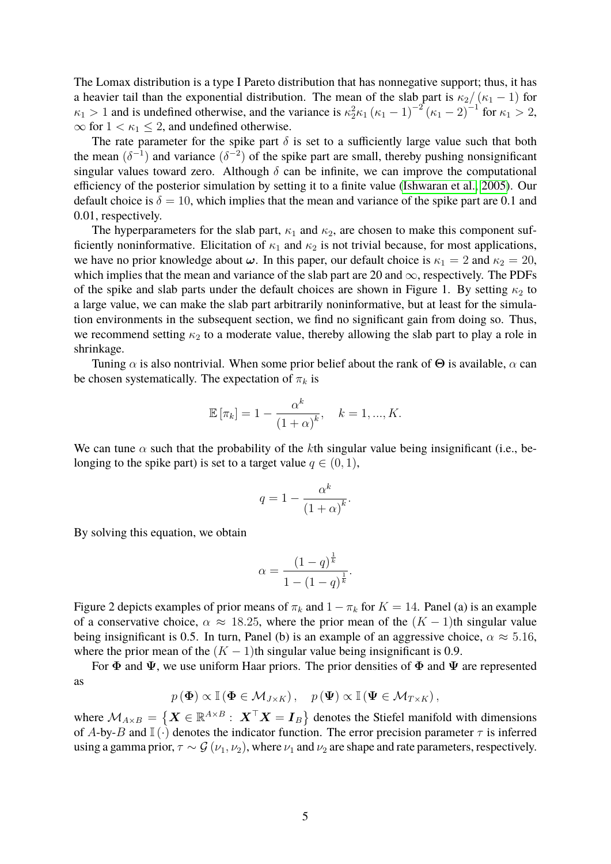The Lomax distribution is a type I Pareto distribution that has nonnegative support; thus, it has a heavier tail than the exponential distribution. The mean of the slab part is  $\kappa_2/(\kappa_1 - 1)$  for  $\kappa_1 > 1$  and is undefined otherwise, and the variance is  $\kappa_2^2 \kappa_1 (\kappa_1 - 1)^{-2} (\kappa_1 - 2)^{-1}$  for  $\kappa_1 > 2$ ,  $\infty$  for  $1 < \kappa_1 \leq 2$ , and undefined otherwise.

The rate parameter for the spike part  $\delta$  is set to a sufficiently large value such that both the mean  $(\delta^{-1})$  and variance  $(\delta^{-2})$  of the spike part are small, thereby pushing nonsignificant singular values toward zero. Although  $\delta$  can be infinite, we can improve the computational efficiency of the posterior simulation by setting it to a finite value [\(Ishwaran et al., 2005\)](#page-14-10). Our default choice is  $\delta = 10$ , which implies that the mean and variance of the spike part are 0.1 and 0.01, respectively.

The hyperparameters for the slab part,  $\kappa_1$  and  $\kappa_2$ , are chosen to make this component sufficiently noninformative. Elicitation of  $\kappa_1$  and  $\kappa_2$  is not trivial because, for most applications, we have no prior knowledge about  $\omega$ . In this paper, our default choice is  $\kappa_1 = 2$  and  $\kappa_2 = 20$ , which implies that the mean and variance of the slab part are 20 and  $\infty$ , respectively. The PDFs of the spike and slab parts under the default choices are shown in Figure 1. By setting  $\kappa_2$  to a large value, we can make the slab part arbitrarily noninformative, but at least for the simulation environments in the subsequent section, we find no significant gain from doing so. Thus, we recommend setting  $\kappa_2$  to a moderate value, thereby allowing the slab part to play a role in shrinkage.

Tuning  $\alpha$  is also nontrivial. When some prior belief about the rank of  $\Theta$  is available,  $\alpha$  can be chosen systematically. The expectation of  $\pi_k$  is

$$
\mathbb{E}[\pi_k] = 1 - \frac{\alpha^k}{\left(1 + \alpha\right)^k}, \quad k = 1, ..., K.
$$

We can tune  $\alpha$  such that the probability of the kth singular value being insignificant (i.e., belonging to the spike part) is set to a target value  $q \in (0, 1)$ ,

$$
q = 1 - \frac{\alpha^k}{\left(1 + \alpha\right)^k}.
$$

By solving this equation, we obtain

$$
\alpha = \frac{(1-q)^{\frac{1}{k}}}{1 - (1-q)^{\frac{1}{k}}}.
$$

Figure 2 depicts examples of prior means of  $\pi_k$  and  $1 - \pi_k$  for  $K = 14$ . Panel (a) is an example of a conservative choice,  $\alpha \approx 18.25$ , where the prior mean of the  $(K-1)$ th singular value being insignificant is 0.5. In turn, Panel (b) is an example of an aggressive choice,  $\alpha \approx 5.16$ , where the prior mean of the  $(K - 1)$ th singular value being insignificant is 0.9.

For  $\Phi$  and  $\Psi$ , we use uniform Haar priors. The prior densities of  $\Phi$  and  $\Psi$  are represented as

$$
p(\Phi) \propto \mathbb{I}(\Phi \in \mathcal{M}_{J \times K}), \quad p(\Psi) \propto \mathbb{I}(\Psi \in \mathcal{M}_{T \times K}),
$$

where  $M_{A\times B} = \{ \bm{X} \in \mathbb{R}^{A\times B}: \ \bm{X}^\top \bm{X} = \bm{I}_B \}$  denotes the Stiefel manifold with dimensions of A-by-B and  $\mathbb{I}(\cdot)$  denotes the indicator function. The error precision parameter  $\tau$  is inferred using a gamma prior,  $\tau \sim \mathcal{G}(\nu_1, \nu_2)$ , where  $\nu_1$  and  $\nu_2$  are shape and rate parameters, respectively.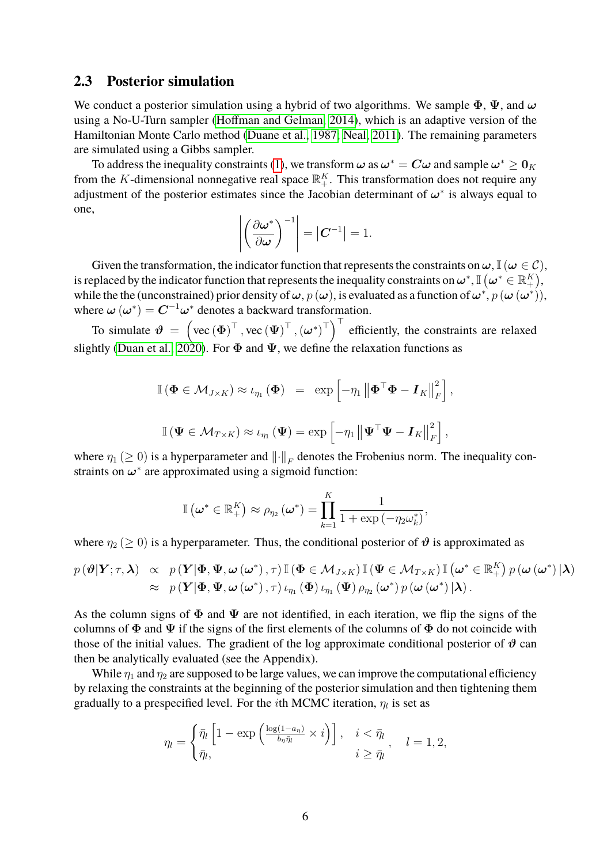#### **2.3 Posterior simulation**

We conduct a posterior simulation using a hybrid of two algorithms. We sample  $\Phi$ ,  $\Psi$ , and  $\omega$ using a No-U-Turn sampler [\(Hoffman and Gelman, 2014\)](#page-14-11), which is an adaptive version of the Hamiltonian Monte Carlo method [\(Duane et al., 1987;](#page-13-8) [Neal, 2011\)](#page-14-12). The remaining parameters are simulated using a Gibbs sampler.

To address the inequality constraints [\(1\)](#page-3-0), we transform  $\bm{\omega}$  as  $\bm{\omega}^*=\bm{C}\bm{\omega}$  and sample  $\bm{\omega}^*\geq \bm{0}_K$ from the K-dimensional nonnegative real space  $\mathbb{R}^K_+$ . This transformation does not require any adjustment of the posterior estimates since the Jacobian determinant of  $\omega^*$  is always equal to one,

$$
\left| \left( \frac{\partial \boldsymbol{\omega}^*}{\partial \boldsymbol{\omega}} \right)^{-1} \right| = \left| \boldsymbol{C}^{-1} \right| = 1.
$$

Given the transformation, the indicator function that represents the constraints on  $\omega$ ,  $\mathbb{I}(\omega \in \mathcal{C})$ , is replaced by the indicator function that represents the inequality constraints on  $\omega^*, \mathbb{I}$   $\left(\omega^*\in\mathbb{R}^K_+\right),$ while the the (unconstrained) prior density of  $\omega$ ,  $p(\omega)$ , is evaluated as a function of  $\omega^*, p(\omega(\omega^*)),$ where  $\boldsymbol{\omega}(\boldsymbol{\omega}^*) = \boldsymbol{C}^{-1}\boldsymbol{\omega}^*$  denotes a backward transformation.

To simulate  $\boldsymbol{\vartheta} = \left(\text{vec}(\boldsymbol{\Phi})^{\top}, \text{vec}(\boldsymbol{\Psi})^{\top}, (\boldsymbol{\omega}^*)^{\top}\right)^{\top}$  efficiently, the constraints are relaxed slightly [\(Duan et al., 2020\)](#page-13-9). For  $\Phi$  and  $\Psi$ , we define the relaxation functions as

$$
\mathbb{I}(\mathbf{\Phi} \in \mathcal{M}_{J \times K}) \approx \iota_{\eta_1}(\mathbf{\Phi}) = \exp \left[ -\eta_1 \left\| \mathbf{\Phi}^\top \mathbf{\Phi} - \mathbf{I}_K \right\|_F^2 \right],
$$
  

$$
\mathbb{I}(\mathbf{\Psi} \in \mathcal{M}_{T \times K}) \approx \iota_{\eta_1}(\mathbf{\Psi}) = \exp \left[ -\eta_1 \left\| \mathbf{\Psi}^\top \mathbf{\Psi} - \mathbf{I}_K \right\|_F^2 \right],
$$

where  $\eta_1 \geq 0$ ) is a hyperparameter and  $\|\cdot\|_F$  denotes the Frobenius norm. The inequality constraints on  $\boldsymbol{\omega}^*$  are approximated using a sigmoid function:

$$
\mathbb{I}\left(\boldsymbol{\omega}^*\in\mathbb{R}_+^K\right)\approx\rho_{\eta_2}\left(\boldsymbol{\omega}^*\right)=\prod_{k=1}^K\frac{1}{1+\exp\left(-\eta_2\omega_k^*\right)},
$$

where  $\eta_2 \geq 0$ ) is a hyperparameter. Thus, the conditional posterior of  $\theta$  is approximated as

$$
p(\boldsymbol{\vartheta}|\boldsymbol{Y};\tau,\boldsymbol{\lambda}) \propto p(\boldsymbol{Y}|\boldsymbol{\Phi},\boldsymbol{\Psi},\boldsymbol{\omega}(\boldsymbol{\omega}^*),\tau) \mathbb{I}(\boldsymbol{\Phi} \in \mathcal{M}_{J\times K}) \mathbb{I}(\boldsymbol{\Psi} \in \mathcal{M}_{T\times K}) \mathbb{I}(\boldsymbol{\omega}^* \in \mathbb{R}_+^K) p(\boldsymbol{\omega}(\boldsymbol{\omega}^*)|\boldsymbol{\lambda}) \approx p(\boldsymbol{Y}|\boldsymbol{\Phi},\boldsymbol{\Psi},\boldsymbol{\omega}(\boldsymbol{\omega}^*),\tau) \iota_{\eta_1}(\boldsymbol{\Phi}) \iota_{\eta_1}(\boldsymbol{\Psi}) \rho_{\eta_2}(\boldsymbol{\omega}^*) p(\boldsymbol{\omega}(\boldsymbol{\omega}^*)|\boldsymbol{\lambda}).
$$

As the column signs of  $\Phi$  and  $\Psi$  are not identified, in each iteration, we flip the signs of the columns of  $\Phi$  and  $\Psi$  if the signs of the first elements of the columns of  $\Phi$  do not coincide with those of the initial values. The gradient of the log approximate conditional posterior of  $\vartheta$  can then be analytically evaluated (see the Appendix).

While  $\eta_1$  and  $\eta_2$  are supposed to be large values, we can improve the computational efficiency by relaxing the constraints at the beginning of the posterior simulation and then tightening them gradually to a prespecified level. For the *i*th MCMC iteration,  $\eta_l$  is set as

$$
\eta_l = \begin{cases} \bar{\eta}_l \left[ 1 - \exp\left( \frac{\log(1 - a_\eta)}{b_\eta \bar{\eta}_l} \times i \right) \right], & i < \bar{\eta}_l \\ \bar{\eta}_l, & i \ge \bar{\eta}_l \end{cases}, \quad l = 1, 2,
$$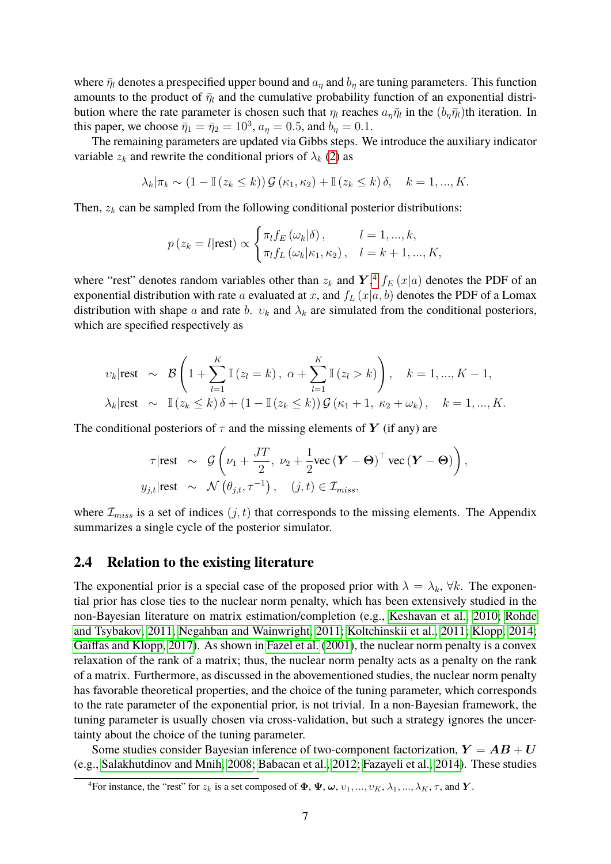where  $\bar{\eta}_l$  denotes a prespecified upper bound and  $a_\eta$  and  $b_\eta$  are tuning parameters. This function amounts to the product of  $\bar{\eta}_l$  and the cumulative probability function of an exponential distribution where the rate parameter is chosen such that  $\eta_l$  reaches  $a_{\eta} \bar{\eta}_l$  in the  $(b_{\eta} \bar{\eta}_l)$ th iteration. In this paper, we choose  $\bar{\eta}_1 = \bar{\eta}_2 = 10^3$ ,  $a_{\eta} = 0.5$ , and  $b_{\eta} = 0.1$ .

The remaining parameters are updated via Gibbs steps. We introduce the auxiliary indicator variable  $z_k$  and rewrite the conditional priors of  $\lambda_k$  [\(2\)](#page-3-1) as

$$
\lambda_k|\pi_k \sim (1 - \mathbb{I}(z_k \le k))\mathcal{G}(\kappa_1, \kappa_2) + \mathbb{I}(z_k \le k)\delta, \quad k = 1, ..., K.
$$

Then,  $z_k$  can be sampled from the following conditional posterior distributions:

$$
p(z_k = l | \text{rest}) \propto \begin{cases} \pi_l f_E(\omega_k | \delta), & l = 1, ..., k, \\ \pi_l f_L(\omega_k | \kappa_1, \kappa_2), & l = k + 1, ..., K, \end{cases}
$$

where "rest" denotes random variables other than  $z_k$  and  $\boldsymbol{Y},^4$  $\boldsymbol{Y},^4$   $f_E(x|a)$  denotes the PDF of an exponential distribution with rate a evaluated at x, and  $f_L(x|a, b)$  denotes the PDF of a Lomax distribution with shape a and rate b.  $v_k$  and  $\lambda_k$  are simulated from the conditional posteriors, which are specified respectively as

$$
\nu_k|\text{rest} \sim \mathcal{B}\left(1+\sum_{l=1}^K \mathbb{I}\left(z_l=k\right), \ \alpha+\sum_{l=1}^K \mathbb{I}\left(z_l>k\right)\right), \quad k=1,...,K-1,
$$
  

$$
\lambda_k|\text{rest} \sim \mathbb{I}\left(z_k \le k\right)\delta + \left(1-\mathbb{I}\left(z_k \le k\right)\right)\mathcal{G}\left(\kappa_1+1, \ \kappa_2+\omega_k\right), \quad k=1,...,K.
$$

The conditional posteriors of  $\tau$  and the missing elements of Y (if any) are

$$
\tau | \text{rest} \ \sim \ \mathcal{G} \left( \nu_1 + \frac{JT}{2}, \ \nu_2 + \frac{1}{2} \text{vec} \left( \boldsymbol{Y} - \boldsymbol{\Theta} \right)^\top \text{vec} \left( \boldsymbol{Y} - \boldsymbol{\Theta} \right) \right),
$$
  

$$
y_{j,t} | \text{rest} \ \sim \ \mathcal{N} \left( \theta_{j,t}, \tau^{-1} \right), \quad (j,t) \in \mathcal{I}_{miss},
$$

where  $\mathcal{I}_{miss}$  is a set of indices  $(j, t)$  that corresponds to the missing elements. The Appendix summarizes a single cycle of the posterior simulator.

#### **2.4 Relation to the existing literature**

The exponential prior is a special case of the proposed prior with  $\lambda = \lambda_k$ ,  $\forall k$ . The exponential prior has close ties to the nuclear norm penalty, which has been extensively studied in the non-Bayesian literature on matrix estimation/completion (e.g., [Keshavan et al., 2010;](#page-14-1) [Rohde](#page-14-2) [and Tsybakov, 2011;](#page-14-2) [Negahban and Wainwright, 2011;](#page-14-3) [Koltchinskii et al., 2011;](#page-14-4) [Klopp, 2014;](#page-14-5) [Gaïffas and Klopp, 2017\)](#page-13-4). As shown in [Fazel et al.](#page-13-5) [\(2001\)](#page-13-5), the nuclear norm penalty is a convex relaxation of the rank of a matrix; thus, the nuclear norm penalty acts as a penalty on the rank of a matrix. Furthermore, as discussed in the abovementioned studies, the nuclear norm penalty has favorable theoretical properties, and the choice of the tuning parameter, which corresponds to the rate parameter of the exponential prior, is not trivial. In a non-Bayesian framework, the tuning parameter is usually chosen via cross-validation, but such a strategy ignores the uncertainty about the choice of the tuning parameter.

Some studies consider Bayesian inference of two-component factorization,  $Y = AB + U$ (e.g., [Salakhutdinov and Mnih, 2008;](#page-14-6) [Babacan et al., 2012;](#page-12-0) [Fazayeli et al., 2014\)](#page-13-6). These studies

<span id="page-6-0"></span><sup>&</sup>lt;sup>4</sup>For instance, the "rest" for  $z_k$  is a set composed of  $\Phi$ ,  $\Psi$ ,  $\omega$ ,  $v_1, ..., v_K$ ,  $\lambda_1, ..., \lambda_K$ ,  $\tau$ , and  $Y$ .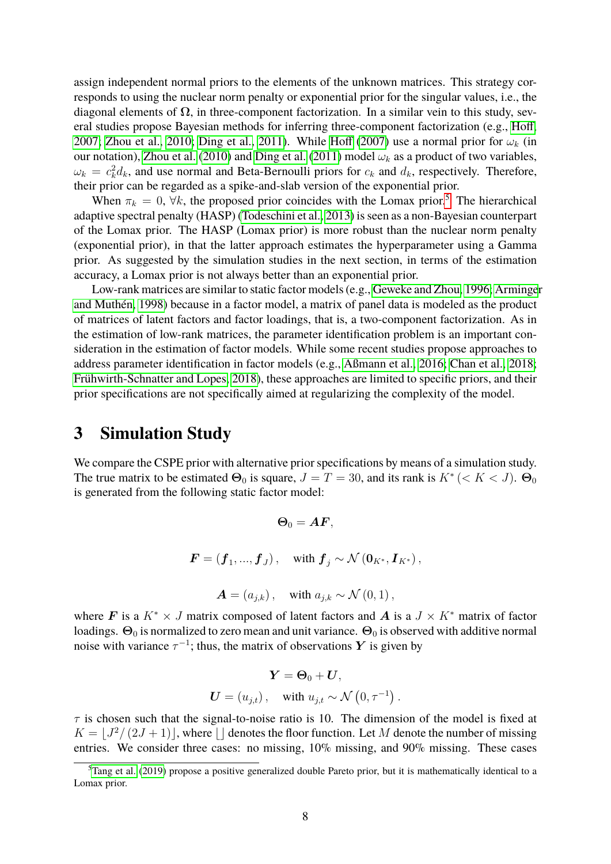assign independent normal priors to the elements of the unknown matrices. This strategy corresponds to using the nuclear norm penalty or exponential prior for the singular values, i.e., the diagonal elements of  $\Omega$ , in three-component factorization. In a similar vein to this study, several studies propose Bayesian methods for inferring three-component factorization (e.g., [Hoff,](#page-14-13) [2007;](#page-14-13) [Zhou et al., 2010;](#page-15-5) [Ding et al., 2011\)](#page-13-10). While [Hoff](#page-14-13) [\(2007\)](#page-14-13) use a normal prior for  $\omega_k$  (in our notation), [Zhou et al.](#page-15-5) [\(2010\)](#page-15-5) and [Ding et al.](#page-13-10) [\(2011\)](#page-13-10) model  $\omega_k$  as a product of two variables,  $\omega_k = c_k^2 d_k$ , and use normal and Beta-Bernoulli priors for  $c_k$  and  $d_k$ , respectively. Therefore, their prior can be regarded as a spike-and-slab version of the exponential prior.

When  $\pi_k = 0$ ,  $\forall k$ , the proposed prior coincides with the Lomax prior.<sup>[5](#page-7-0)</sup> The hierarchical adaptive spectral penalty (HASP) [\(Todeschini et al., 2013\)](#page-15-6) is seen as a non-Bayesian counterpart of the Lomax prior. The HASP (Lomax prior) is more robust than the nuclear norm penalty (exponential prior), in that the latter approach estimates the hyperparameter using a Gamma prior. As suggested by the simulation studies in the next section, in terms of the estimation accuracy, a Lomax prior is not always better than an exponential prior.

Low-rank matrices are similar to static factor models (e.g., [Geweke and Zhou, 1996;](#page-13-1) [Arminge](#page-12-1)r [and Muthén, 1998\)](#page-12-1) because in a factor model, a matrix of panel data is modeled as the product of matrices of latent factors and factor loadings, that is, a two-component factorization. As in the estimation of low-rank matrices, the parameter identification problem is an important consideration in the estimation of factor models. While some recent studies propose approaches to address parameter identification in factor models (e.g., [Aßmann et al., 2016;](#page-12-2) [Chan et al., 2018;](#page-13-7) [Frühwirth-Schnatter and Lopes, 2018\)](#page-13-11), these approaches are limited to specific priors, and their prior specifications are not specifically aimed at regularizing the complexity of the model.

### **3 Simulation Study**

We compare the CSPE prior with alternative prior specifications by means of a simulation study. The true matrix to be estimated  $\Theta_0$  is square,  $J = T = 30$ , and its rank is  $K^* \, (< K < J)$ .  $\Theta_0$ is generated from the following static factor model:

$$
\Theta_0 = AF,
$$
  

$$
F = (f_1, ..., f_J), \text{ with } f_j \sim \mathcal{N} (0_{K^*}, I_{K^*}),
$$
  

$$
A = (a_{j,k}), \text{ with } a_{j,k} \sim \mathcal{N} (0,1),
$$

where F is a  $K^* \times J$  matrix composed of latent factors and A is a  $J \times K^*$  matrix of factor loadings.  $\Theta_0$  is normalized to zero mean and unit variance.  $\Theta_0$  is observed with additive normal noise with variance  $\tau^{-1}$ ; thus, the matrix of observations Y is given by

$$
\boldsymbol{Y} = \boldsymbol{\Theta}_0 + \boldsymbol{U},
$$
  

$$
\boldsymbol{U} = (u_{j,t}), \text{ with } u_{j,t} \sim \mathcal{N}(0, \tau^{-1}).
$$

 $\tau$  is chosen such that the signal-to-noise ratio is 10. The dimension of the model is fixed at  $K = \lfloor J^2/(2J + 1) \rfloor$ , where  $\lfloor$  denotes the floor function. Let M denote the number of missing entries. We consider three cases: no missing, 10% missing, and 90% missing. These cases

<span id="page-7-0"></span><sup>&</sup>lt;sup>5</sup>[Tang et al.](#page-15-4) [\(2019\)](#page-15-4) propose a positive generalized double Pareto prior, but it is mathematically identical to a Lomax prior.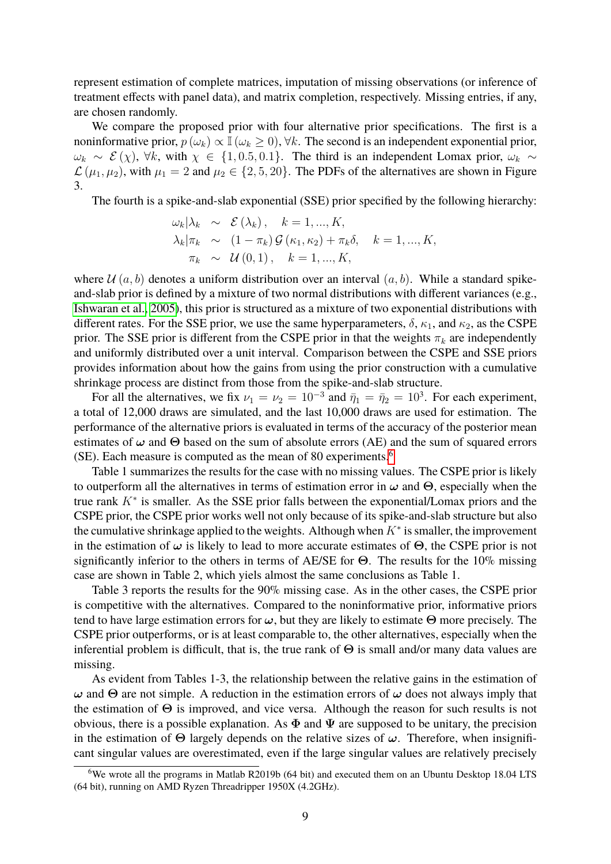represent estimation of complete matrices, imputation of missing observations (or inference of treatment effects with panel data), and matrix completion, respectively. Missing entries, if any, are chosen randomly.

We compare the proposed prior with four alternative prior specifications. The first is a noninformative prior,  $p(\omega_k) \propto \mathbb{I}(\omega_k \geq 0)$ ,  $\forall k$ . The second is an independent exponential prior,  $\omega_k \sim \mathcal{E}(\chi)$ ,  $\forall k$ , with  $\chi \in \{1, 0.5, 0.1\}$ . The third is an independent Lomax prior,  $\omega_k \sim$  $\mathcal{L}(\mu_1, \mu_2)$ , with  $\mu_1 = 2$  and  $\mu_2 \in \{2, 5, 20\}$ . The PDFs of the alternatives are shown in Figure 3.

The fourth is a spike-and-slab exponential (SSE) prior specified by the following hierarchy:

$$
\omega_k|\lambda_k \sim \mathcal{E}(\lambda_k), \quad k = 1, ..., K,
$$
  
\n
$$
\lambda_k|\pi_k \sim (1 - \pi_k)\mathcal{G}(\kappa_1, \kappa_2) + \pi_k \delta, \quad k = 1, ..., K,
$$
  
\n
$$
\pi_k \sim \mathcal{U}(0, 1), \quad k = 1, ..., K,
$$

where  $\mathcal{U}(a, b)$  denotes a uniform distribution over an interval  $(a, b)$ . While a standard spikeand-slab prior is defined by a mixture of two normal distributions with different variances (e.g., [Ishwaran et al., 2005\)](#page-14-10), this prior is structured as a mixture of two exponential distributions with different rates. For the SSE prior, we use the same hyperparameters,  $\delta$ ,  $\kappa_1$ , and  $\kappa_2$ , as the CSPE prior. The SSE prior is different from the CSPE prior in that the weights  $\pi_k$  are independently and uniformly distributed over a unit interval. Comparison between the CSPE and SSE priors provides information about how the gains from using the prior construction with a cumulative shrinkage process are distinct from those from the spike-and-slab structure.

For all the alternatives, we fix  $\nu_1 = \nu_2 = 10^{-3}$  and  $\bar{\eta}_1 = \bar{\eta}_2 = 10^3$ . For each experiment, a total of 12,000 draws are simulated, and the last 10,000 draws are used for estimation. The performance of the alternative priors is evaluated in terms of the accuracy of the posterior mean estimates of  $\omega$  and  $\Theta$  based on the sum of absolute errors (AE) and the sum of squared errors (SE). Each measure is computed as the mean of 80 experiments.<sup>[6](#page-8-0)</sup>

Table 1 summarizes the results for the case with no missing values. The CSPE prior is likely to outperform all the alternatives in terms of estimation error in  $\omega$  and  $\Theta$ , especially when the true rank  $K^*$  is smaller. As the SSE prior falls between the exponential/Lomax priors and the CSPE prior, the CSPE prior works well not only because of its spike-and-slab structure but also the cumulative shrinkage applied to the weights. Although when  $K^*$  is smaller, the improvement in the estimation of  $\omega$  is likely to lead to more accurate estimates of  $\Theta$ , the CSPE prior is not significantly inferior to the others in terms of AE/SE for  $\Theta$ . The results for the 10% missing case are shown in Table 2, which yiels almost the same conclusions as Table 1.

Table 3 reports the results for the 90% missing case. As in the other cases, the CSPE prior is competitive with the alternatives. Compared to the noninformative prior, informative priors tend to have large estimation errors for  $\omega$ , but they are likely to estimate  $\Theta$  more precisely. The CSPE prior outperforms, or is at least comparable to, the other alternatives, especially when the inferential problem is difficult, that is, the true rank of  $\Theta$  is small and/or many data values are missing.

As evident from Tables 1-3, the relationship between the relative gains in the estimation of  $ω$  and Θ are not simple. A reduction in the estimation errors of  $ω$  does not always imply that the estimation of Θ is improved, and vice versa. Although the reason for such results is not obvious, there is a possible explanation. As  $\Phi$  and  $\Psi$  are supposed to be unitary, the precision in the estimation of  $\Theta$  largely depends on the relative sizes of  $\omega$ . Therefore, when insignificant singular values are overestimated, even if the large singular values are relatively precisely

<span id="page-8-0"></span><sup>6</sup>We wrote all the programs in Matlab R2019b (64 bit) and executed them on an Ubuntu Desktop 18.04 LTS (64 bit), running on AMD Ryzen Threadripper 1950X (4.2GHz).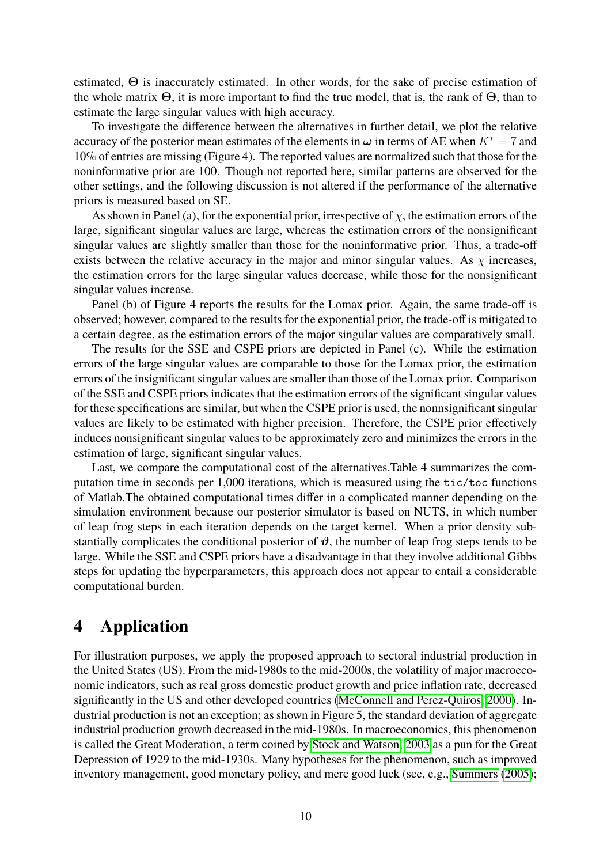estimated, Θ is inaccurately estimated. In other words, for the sake of precise estimation of the whole matrix  $\Theta$ , it is more important to find the true model, that is, the rank of  $\Theta$ , than to estimate the large singular values with high accuracy.

To investigate the difference between the alternatives in further detail, we plot the relative accuracy of the posterior mean estimates of the elements in  $\omega$  in terms of AE when  $K^* = 7$  and 10% of entries are missing (Figure 4). The reported values are normalized such that those for the noninformative prior are 100. Though not reported here, similar patterns are observed for the other settings, and the following discussion is not altered if the performance of the alternative priors is measured based on SE.

As shown in Panel (a), for the exponential prior, irrespective of  $\chi$ , the estimation errors of the large, significant singular values are large, whereas the estimation errors of the nonsignificant singular values are slightly smaller than those for the noninformative prior. Thus, a trade-off exists between the relative accuracy in the major and minor singular values. As  $\chi$  increases, the estimation errors for the large singular values decrease, while those for the nonsignificant singular values increase.

Panel (b) of Figure 4 reports the results for the Lomax prior. Again, the same trade-off is observed; however, compared to the results for the exponential prior, the trade-off is mitigated to a certain degree, as the estimation errors of the major singular values are comparatively small.

The results for the SSE and CSPE priors are depicted in Panel (c). While the estimation errors of the large singular values are comparable to those for the Lomax prior, the estimation errors of the insignificant singular values are smaller than those of the Lomax prior. Comparison of the SSE and CSPE priors indicates that the estimation errors of the significant singular values for these specifications are similar, but when the CSPE prior is used, the nonnsignificant singular values are likely to be estimated with higher precision. Therefore, the CSPE prior effectively induces nonsignificant singular values to be approximately zero and minimizes the errors in the estimation of large, significant singular values.

Last, we compare the computational cost of the alternatives.Table 4 summarizes the computation time in seconds per 1,000 iterations, which is measured using the tic/toc functions of Matlab.The obtained computational times differ in a complicated manner depending on the simulation environment because our posterior simulator is based on NUTS, in which number of leap frog steps in each iteration depends on the target kernel. When a prior density substantially complicates the conditional posterior of  $\vartheta$ , the number of leap frog steps tends to be large. While the SSE and CSPE priors have a disadvantage in that they involve additional Gibbs steps for updating the hyperparameters, this approach does not appear to entail a considerable computational burden.

### **4 Application**

For illustration purposes, we apply the proposed approach to sectoral industrial production in the United States (US). From the mid-1980s to the mid-2000s, the volatility of major macroeconomic indicators, such as real gross domestic product growth and price inflation rate, decreased significantly in the US and other developed countries [\(McConnell and Perez-Quiros, 2000\)](#page-14-8). Industrial production is not an exception; as shown in Figure 5, the standard deviation of aggregate industrial production growth decreased in the mid-1980s. In macroeconomics, this phenomenon is called the Great Moderation, a term coined by [Stock and Watson, 2003](#page-15-7) as a pun for the Great Depression of 1929 to the mid-1930s. Many hypotheses for the phenomenon, such as improved inventory management, good monetary policy, and mere good luck (see, e.g., [Summers](#page-15-2) [\(2005\)](#page-15-2);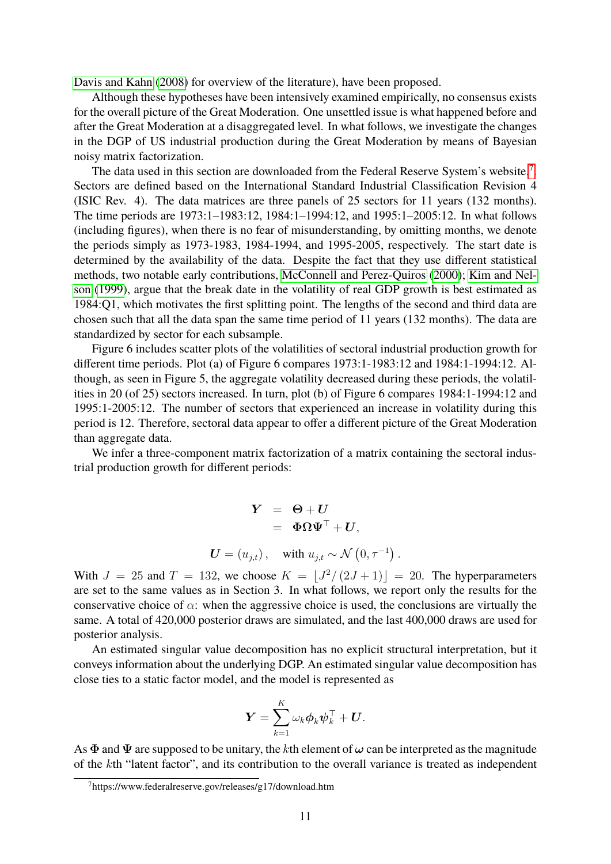[Davis and Kahn](#page-13-12) [\(2008\)](#page-13-12) for overview of the literature), have been proposed.

Although these hypotheses have been intensively examined empirically, no consensus exists for the overall picture of the Great Moderation. One unsettled issue is what happened before and after the Great Moderation at a disaggregated level. In what follows, we investigate the changes in the DGP of US industrial production during the Great Moderation by means of Bayesian noisy matrix factorization.

The data used in this section are downloaded from the Federal Reserve System's website.<sup>[7](#page-10-0)</sup>. Sectors are defined based on the International Standard Industrial Classification Revision 4 (ISIC Rev. 4). The data matrices are three panels of 25 sectors for 11 years (132 months). The time periods are 1973:1–1983:12, 1984:1–1994:12, and 1995:1–2005:12. In what follows (including figures), when there is no fear of misunderstanding, by omitting months, we denote the periods simply as 1973-1983, 1984-1994, and 1995-2005, respectively. The start date is determined by the availability of the data. Despite the fact that they use different statistical methods, two notable early contributions, [McConnell and Perez-Quiros](#page-14-8) [\(2000\)](#page-14-8); [Kim and Nel](#page-14-14)[son](#page-14-14) [\(1999\)](#page-14-14), argue that the break date in the volatility of real GDP growth is best estimated as 1984:Q1, which motivates the first splitting point. The lengths of the second and third data are chosen such that all the data span the same time period of 11 years (132 months). The data are standardized by sector for each subsample.

Figure 6 includes scatter plots of the volatilities of sectoral industrial production growth for different time periods. Plot (a) of Figure 6 compares 1973:1-1983:12 and 1984:1-1994:12. Although, as seen in Figure 5, the aggregate volatility decreased during these periods, the volatilities in 20 (of 25) sectors increased. In turn, plot (b) of Figure 6 compares 1984:1-1994:12 and 1995:1-2005:12. The number of sectors that experienced an increase in volatility during this period is 12. Therefore, sectoral data appear to offer a different picture of the Great Moderation than aggregate data.

We infer a three-component matrix factorization of a matrix containing the sectoral industrial production growth for different periods:

$$
\begin{array}{rcl} \boldsymbol{Y} & = & \boldsymbol{\Theta} + \boldsymbol{U} \\ & = & \boldsymbol{\Phi} \boldsymbol{\Omega} \boldsymbol{\Psi}^\top + \boldsymbol{U}, \end{array}
$$
  

$$
\boldsymbol{U} = (u_{j,t}), \quad \text{with } u_{j,t} \sim \mathcal{N}\left(0, \tau^{-1}\right).
$$

With  $J = 25$  and  $T = 132$ , we choose  $K = \lfloor J^2/(2J + 1) \rfloor = 20$ . The hyperparameters are set to the same values as in Section 3. In what follows, we report only the results for the conservative choice of  $\alpha$ : when the aggressive choice is used, the conclusions are virtually the same. A total of 420,000 posterior draws are simulated, and the last 400,000 draws are used for posterior analysis.

An estimated singular value decomposition has no explicit structural interpretation, but it conveys information about the underlying DGP. An estimated singular value decomposition has close ties to a static factor model, and the model is represented as

$$
\boldsymbol{Y} = \sum_{k=1}^K \omega_k \boldsymbol{\phi}_k \boldsymbol{\psi}_k^\top + \boldsymbol{U}.
$$

As  $\Phi$  and  $\Psi$  are supposed to be unitary, the kth element of  $\omega$  can be interpreted as the magnitude of the kth "latent factor", and its contribution to the overall variance is treated as independent

<span id="page-10-0"></span><sup>7</sup>https://www.federalreserve.gov/releases/g17/download.htm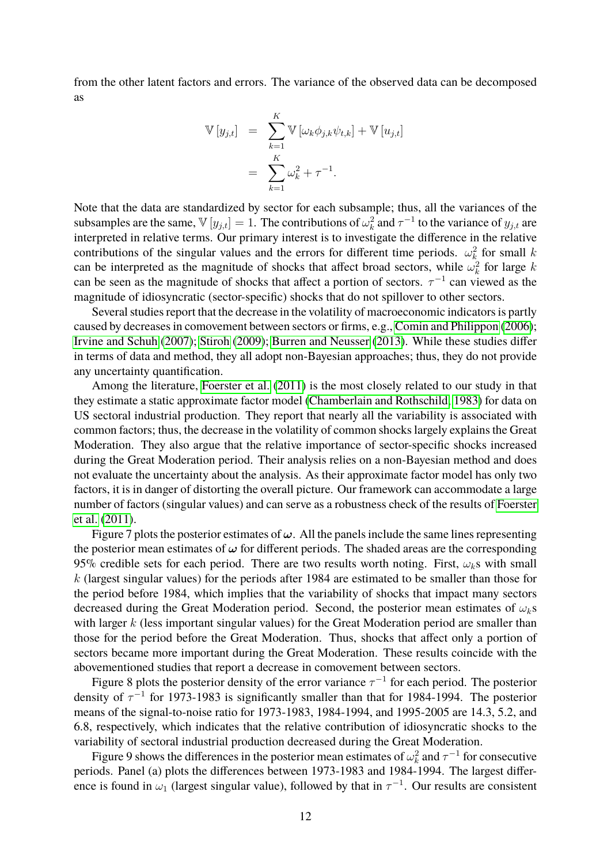from the other latent factors and errors. The variance of the observed data can be decomposed as

$$
\mathbb{V}[y_{j,t}] = \sum_{k=1}^{K} \mathbb{V}[\omega_k \phi_{j,k} \psi_{t,k}] + \mathbb{V}[u_{j,t}]
$$
  
= 
$$
\sum_{k=1}^{K} \omega_k^2 + \tau^{-1}.
$$

Note that the data are standardized by sector for each subsample; thus, all the variances of the subsamples are the same,  $\mathbb{V}[y_{j,t}] = 1$ . The contributions of  $\omega_k^2$  and  $\tau^{-1}$  to the variance of  $y_{j,t}$  are interpreted in relative terms. Our primary interest is to investigate the difference in the relative contributions of the singular values and the errors for different time periods.  $\omega_k^2$  for small k can be interpreted as the magnitude of shocks that affect broad sectors, while  $\omega_k^2$  for large k can be seen as the magnitude of shocks that affect a portion of sectors.  $\tau^{-1}$  can viewed as the magnitude of idiosyncratic (sector-specific) shocks that do not spillover to other sectors.

Several studies report that the decrease in the volatility of macroeconomic indicators is partly caused by decreases in comovement between sectors or firms, e.g., [Comin and Philippon](#page-13-13) [\(2006\)](#page-13-13); [Irvine and Schuh](#page-14-15) [\(2007\)](#page-14-15); [Stiroh](#page-15-8) [\(2009\)](#page-15-8); [Burren and Neusser](#page-12-3) [\(2013\)](#page-12-3). While these studies differ in terms of data and method, they all adopt non-Bayesian approaches; thus, they do not provide any uncertainty quantification.

Among the literature, [Foerster et al.](#page-13-14) [\(2011\)](#page-13-14) is the most closely related to our study in that they estimate a static approximate factor model [\(Chamberlain and Rothschild, 1983\)](#page-13-15) for data on US sectoral industrial production. They report that nearly all the variability is associated with common factors; thus, the decrease in the volatility of common shocks largely explains the Great Moderation. They also argue that the relative importance of sector-specific shocks increased during the Great Moderation period. Their analysis relies on a non-Bayesian method and does not evaluate the uncertainty about the analysis. As their approximate factor model has only two factors, it is in danger of distorting the overall picture. Our framework can accommodate a large number of factors (singular values) and can serve as a robustness check of the results of [Foerster](#page-13-14) [et al.](#page-13-14) [\(2011\)](#page-13-14).

Figure 7 plots the posterior estimates of  $\omega$ . All the panels include the same lines representing the posterior mean estimates of  $\omega$  for different periods. The shaded areas are the corresponding 95% credible sets for each period. There are two results worth noting. First,  $\omega_k$ s with small k (largest singular values) for the periods after 1984 are estimated to be smaller than those for the period before 1984, which implies that the variability of shocks that impact many sectors decreased during the Great Moderation period. Second, the posterior mean estimates of  $\omega_k$ s with larger  $k$  (less important singular values) for the Great Moderation period are smaller than those for the period before the Great Moderation. Thus, shocks that affect only a portion of sectors became more important during the Great Moderation. These results coincide with the abovementioned studies that report a decrease in comovement between sectors.

Figure 8 plots the posterior density of the error variance  $\tau^{-1}$  for each period. The posterior density of  $\tau^{-1}$  for 1973-1983 is significantly smaller than that for 1984-1994. The posterior means of the signal-to-noise ratio for 1973-1983, 1984-1994, and 1995-2005 are 14.3, 5.2, and 6.8, respectively, which indicates that the relative contribution of idiosyncratic shocks to the variability of sectoral industrial production decreased during the Great Moderation.

Figure 9 shows the differences in the posterior mean estimates of  $\omega_k^2$  and  $\tau^{-1}$  for consecutive periods. Panel (a) plots the differences between 1973-1983 and 1984-1994. The largest difference is found in  $\omega_1$  (largest singular value), followed by that in  $\tau^{-1}$ . Our results are consistent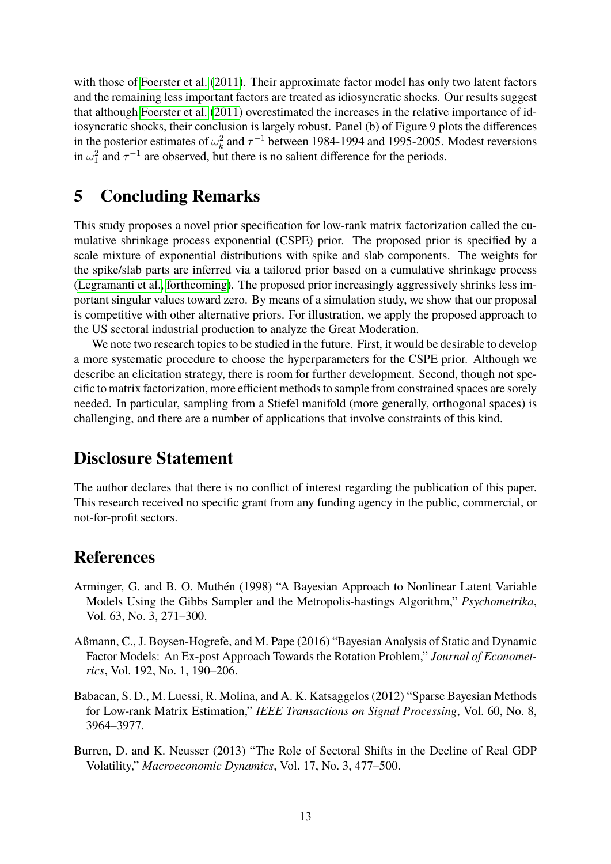with those of [Foerster et al.](#page-13-14) [\(2011\)](#page-13-14). Their approximate factor model has only two latent factors and the remaining less important factors are treated as idiosyncratic shocks. Our results suggest that although [Foerster et al.](#page-13-14) [\(2011\)](#page-13-14) overestimated the increases in the relative importance of idiosyncratic shocks, their conclusion is largely robust. Panel (b) of Figure 9 plots the differences in the posterior estimates of  $\omega_k^2$  and  $\tau^{-1}$  between 1984-1994 and 1995-2005. Modest reversions in  $\omega_1^2$  and  $\tau^{-1}$  are observed, but there is no salient difference for the periods.

## **5 Concluding Remarks**

This study proposes a novel prior specification for low-rank matrix factorization called the cumulative shrinkage process exponential (CSPE) prior. The proposed prior is specified by a scale mixture of exponential distributions with spike and slab components. The weights for the spike/slab parts are inferred via a tailored prior based on a cumulative shrinkage process [\(Legramanti et al., forthcoming\)](#page-14-7). The proposed prior increasingly aggressively shrinks less important singular values toward zero. By means of a simulation study, we show that our proposal is competitive with other alternative priors. For illustration, we apply the proposed approach to the US sectoral industrial production to analyze the Great Moderation.

We note two research topics to be studied in the future. First, it would be desirable to develop a more systematic procedure to choose the hyperparameters for the CSPE prior. Although we describe an elicitation strategy, there is room for further development. Second, though not specific to matrix factorization, more efficient methods to sample from constrained spaces are sorely needed. In particular, sampling from a Stiefel manifold (more generally, orthogonal spaces) is challenging, and there are a number of applications that involve constraints of this kind.

### **Disclosure Statement**

The author declares that there is no conflict of interest regarding the publication of this paper. This research received no specific grant from any funding agency in the public, commercial, or not-for-profit sectors.

### **References**

- <span id="page-12-1"></span>Arminger, G. and B. O. Muthén (1998) "A Bayesian Approach to Nonlinear Latent Variable Models Using the Gibbs Sampler and the Metropolis-hastings Algorithm," *Psychometrika*, Vol. 63, No. 3, 271–300.
- <span id="page-12-2"></span>Aßmann, C., J. Boysen-Hogrefe, and M. Pape (2016) "Bayesian Analysis of Static and Dynamic Factor Models: An Ex-post Approach Towards the Rotation Problem," *Journal of Econometrics*, Vol. 192, No. 1, 190–206.
- <span id="page-12-0"></span>Babacan, S. D., M. Luessi, R. Molina, and A. K. Katsaggelos (2012) "Sparse Bayesian Methods for Low-rank Matrix Estimation," *IEEE Transactions on Signal Processing*, Vol. 60, No. 8, 3964–3977.
- <span id="page-12-3"></span>Burren, D. and K. Neusser (2013) "The Role of Sectoral Shifts in the Decline of Real GDP Volatility," *Macroeconomic Dynamics*, Vol. 17, No. 3, 477–500.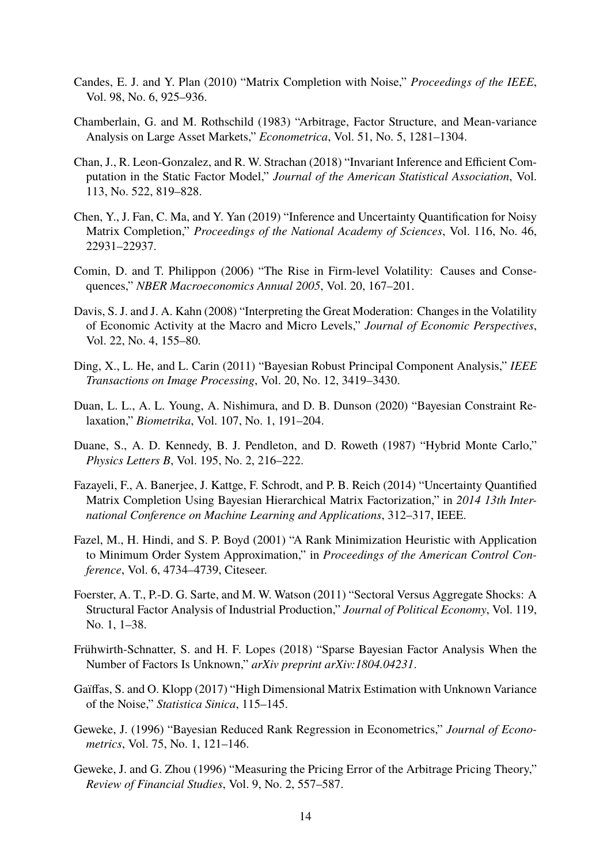- <span id="page-13-0"></span>Candes, E. J. and Y. Plan (2010) "Matrix Completion with Noise," *Proceedings of the IEEE*, Vol. 98, No. 6, 925–936.
- <span id="page-13-15"></span>Chamberlain, G. and M. Rothschild (1983) "Arbitrage, Factor Structure, and Mean-variance Analysis on Large Asset Markets," *Econometrica*, Vol. 51, No. 5, 1281–1304.
- <span id="page-13-7"></span>Chan, J., R. Leon-Gonzalez, and R. W. Strachan (2018) "Invariant Inference and Efficient Computation in the Static Factor Model," *Journal of the American Statistical Association*, Vol. 113, No. 522, 819–828.
- <span id="page-13-3"></span>Chen, Y., J. Fan, C. Ma, and Y. Yan (2019) "Inference and Uncertainty Quantification for Noisy Matrix Completion," *Proceedings of the National Academy of Sciences*, Vol. 116, No. 46, 22931–22937.
- <span id="page-13-13"></span>Comin, D. and T. Philippon (2006) "The Rise in Firm-level Volatility: Causes and Consequences," *NBER Macroeconomics Annual 2005*, Vol. 20, 167–201.
- <span id="page-13-12"></span>Davis, S. J. and J. A. Kahn (2008) "Interpreting the Great Moderation: Changes in the Volatility of Economic Activity at the Macro and Micro Levels," *Journal of Economic Perspectives*, Vol. 22, No. 4, 155–80.
- <span id="page-13-10"></span>Ding, X., L. He, and L. Carin (2011) "Bayesian Robust Principal Component Analysis," *IEEE Transactions on Image Processing*, Vol. 20, No. 12, 3419–3430.
- <span id="page-13-9"></span>Duan, L. L., A. L. Young, A. Nishimura, and D. B. Dunson (2020) "Bayesian Constraint Relaxation," *Biometrika*, Vol. 107, No. 1, 191–204.
- <span id="page-13-8"></span>Duane, S., A. D. Kennedy, B. J. Pendleton, and D. Roweth (1987) "Hybrid Monte Carlo," *Physics Letters B*, Vol. 195, No. 2, 216–222.
- <span id="page-13-6"></span>Fazayeli, F., A. Banerjee, J. Kattge, F. Schrodt, and P. B. Reich (2014) "Uncertainty Quantified Matrix Completion Using Bayesian Hierarchical Matrix Factorization," in *2014 13th International Conference on Machine Learning and Applications*, 312–317, IEEE.
- <span id="page-13-5"></span>Fazel, M., H. Hindi, and S. P. Boyd (2001) "A Rank Minimization Heuristic with Application to Minimum Order System Approximation," in *Proceedings of the American Control Conference*, Vol. 6, 4734–4739, Citeseer.
- <span id="page-13-14"></span>Foerster, A. T., P.-D. G. Sarte, and M. W. Watson (2011) "Sectoral Versus Aggregate Shocks: A Structural Factor Analysis of Industrial Production," *Journal of Political Economy*, Vol. 119, No. 1, 1–38.
- <span id="page-13-11"></span>Frühwirth-Schnatter, S. and H. F. Lopes (2018) "Sparse Bayesian Factor Analysis When the Number of Factors Is Unknown," *arXiv preprint arXiv:1804.04231*.
- <span id="page-13-4"></span>Gaïffas, S. and O. Klopp (2017) "High Dimensional Matrix Estimation with Unknown Variance of the Noise," *Statistica Sinica*, 115–145.
- <span id="page-13-2"></span>Geweke, J. (1996) "Bayesian Reduced Rank Regression in Econometrics," *Journal of Econometrics*, Vol. 75, No. 1, 121–146.
- <span id="page-13-1"></span>Geweke, J. and G. Zhou (1996) "Measuring the Pricing Error of the Arbitrage Pricing Theory," *Review of Financial Studies*, Vol. 9, No. 2, 557–587.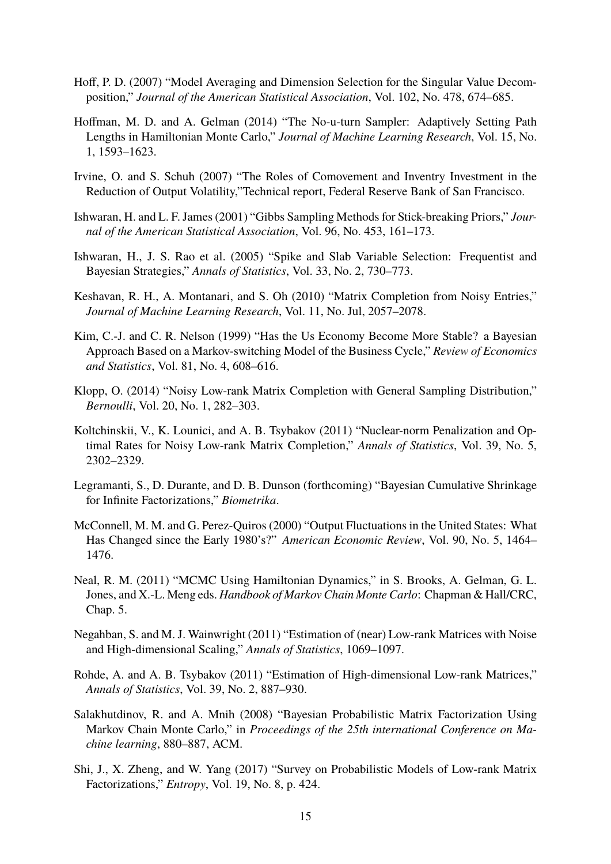- <span id="page-14-13"></span>Hoff, P. D. (2007) "Model Averaging and Dimension Selection for the Singular Value Decomposition," *Journal of the American Statistical Association*, Vol. 102, No. 478, 674–685.
- <span id="page-14-11"></span>Hoffman, M. D. and A. Gelman (2014) "The No-u-turn Sampler: Adaptively Setting Path Lengths in Hamiltonian Monte Carlo," *Journal of Machine Learning Research*, Vol. 15, No. 1, 1593–1623.
- <span id="page-14-15"></span>Irvine, O. and S. Schuh (2007) "The Roles of Comovement and Inventry Investment in the Reduction of Output Volatility,"Technical report, Federal Reserve Bank of San Francisco.
- <span id="page-14-9"></span>Ishwaran, H. and L. F. James (2001) "Gibbs Sampling Methods for Stick-breaking Priors," *Journal of the American Statistical Association*, Vol. 96, No. 453, 161–173.
- <span id="page-14-10"></span>Ishwaran, H., J. S. Rao et al. (2005) "Spike and Slab Variable Selection: Frequentist and Bayesian Strategies," *Annals of Statistics*, Vol. 33, No. 2, 730–773.
- <span id="page-14-1"></span>Keshavan, R. H., A. Montanari, and S. Oh (2010) "Matrix Completion from Noisy Entries," *Journal of Machine Learning Research*, Vol. 11, No. Jul, 2057–2078.
- <span id="page-14-14"></span>Kim, C.-J. and C. R. Nelson (1999) "Has the Us Economy Become More Stable? a Bayesian Approach Based on a Markov-switching Model of the Business Cycle," *Review of Economics and Statistics*, Vol. 81, No. 4, 608–616.
- <span id="page-14-5"></span>Klopp, O. (2014) "Noisy Low-rank Matrix Completion with General Sampling Distribution," *Bernoulli*, Vol. 20, No. 1, 282–303.
- <span id="page-14-4"></span>Koltchinskii, V., K. Lounici, and A. B. Tsybakov (2011) "Nuclear-norm Penalization and Optimal Rates for Noisy Low-rank Matrix Completion," *Annals of Statistics*, Vol. 39, No. 5, 2302–2329.
- <span id="page-14-7"></span>Legramanti, S., D. Durante, and D. B. Dunson (forthcoming) "Bayesian Cumulative Shrinkage for Infinite Factorizations," *Biometrika*.
- <span id="page-14-8"></span>McConnell, M. M. and G. Perez-Quiros (2000) "Output Fluctuations in the United States: What Has Changed since the Early 1980's?" *American Economic Review*, Vol. 90, No. 5, 1464– 1476.
- <span id="page-14-12"></span>Neal, R. M. (2011) "MCMC Using Hamiltonian Dynamics," in S. Brooks, A. Gelman, G. L. Jones, and X.-L. Meng eds. *Handbook of Markov Chain Monte Carlo*: Chapman & Hall/CRC, Chap. 5.
- <span id="page-14-3"></span>Negahban, S. and M. J. Wainwright (2011) "Estimation of (near) Low-rank Matrices with Noise and High-dimensional Scaling," *Annals of Statistics*, 1069–1097.
- <span id="page-14-2"></span>Rohde, A. and A. B. Tsybakov (2011) "Estimation of High-dimensional Low-rank Matrices," *Annals of Statistics*, Vol. 39, No. 2, 887–930.
- <span id="page-14-6"></span>Salakhutdinov, R. and A. Mnih (2008) "Bayesian Probabilistic Matrix Factorization Using Markov Chain Monte Carlo," in *Proceedings of the 25th international Conference on Machine learning*, 880–887, ACM.
- <span id="page-14-0"></span>Shi, J., X. Zheng, and W. Yang (2017) "Survey on Probabilistic Models of Low-rank Matrix Factorizations," *Entropy*, Vol. 19, No. 8, p. 424.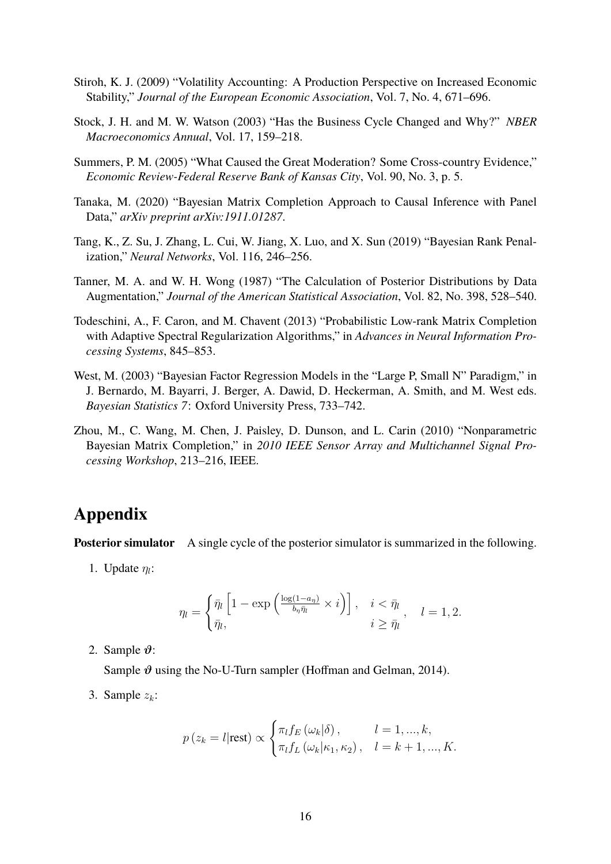- <span id="page-15-8"></span>Stiroh, K. J. (2009) "Volatility Accounting: A Production Perspective on Increased Economic Stability," *Journal of the European Economic Association*, Vol. 7, No. 4, 671–696.
- <span id="page-15-7"></span>Stock, J. H. and M. W. Watson (2003) "Has the Business Cycle Changed and Why?" *NBER Macroeconomics Annual*, Vol. 17, 159–218.
- <span id="page-15-2"></span>Summers, P. M. (2005) "What Caused the Great Moderation? Some Cross-country Evidence," *Economic Review-Federal Reserve Bank of Kansas City*, Vol. 90, No. 3, p. 5.
- <span id="page-15-1"></span>Tanaka, M. (2020) "Bayesian Matrix Completion Approach to Causal Inference with Panel Data," *arXiv preprint arXiv:1911.01287*.
- <span id="page-15-4"></span>Tang, K., Z. Su, J. Zhang, L. Cui, W. Jiang, X. Luo, and X. Sun (2019) "Bayesian Rank Penalization," *Neural Networks*, Vol. 116, 246–256.
- <span id="page-15-3"></span>Tanner, M. A. and W. H. Wong (1987) "The Calculation of Posterior Distributions by Data Augmentation," *Journal of the American Statistical Association*, Vol. 82, No. 398, 528–540.
- <span id="page-15-6"></span>Todeschini, A., F. Caron, and M. Chavent (2013) "Probabilistic Low-rank Matrix Completion with Adaptive Spectral Regularization Algorithms," in *Advances in Neural Information Processing Systems*, 845–853.
- <span id="page-15-0"></span>West, M. (2003) "Bayesian Factor Regression Models in the "Large P, Small N" Paradigm," in J. Bernardo, M. Bayarri, J. Berger, A. Dawid, D. Heckerman, A. Smith, and M. West eds. *Bayesian Statistics 7*: Oxford University Press, 733–742.
- <span id="page-15-5"></span>Zhou, M., C. Wang, M. Chen, J. Paisley, D. Dunson, and L. Carin (2010) "Nonparametric Bayesian Matrix Completion," in *2010 IEEE Sensor Array and Multichannel Signal Processing Workshop*, 213–216, IEEE.

### **Appendix**

**Posterior simulator** A single cycle of the posterior simulator is summarized in the following.

1. Update  $\eta_l$ :

$$
\eta_l = \begin{cases} \bar{\eta}_l \left[ 1 - \exp\left( \frac{\log(1 - a_\eta)}{b_\eta \bar{\eta}_l} \times i \right) \right], & i < \bar{\eta}_l \\ \bar{\eta}_l, & i \ge \bar{\eta}_l \end{cases}, \quad l = 1, 2.
$$

2. Sample  $\vartheta$ :

Sample  $\vartheta$  using the No-U-Turn sampler (Hoffman and Gelman, 2014).

3. Sample  $z_k$ :

$$
p(z_k = l | \text{rest}) \propto \begin{cases} \pi_l f_E(\omega_k | \delta), & l = 1, ..., k, \\ \pi_l f_L(\omega_k | \kappa_1, \kappa_2), & l = k + 1, ..., K. \end{cases}
$$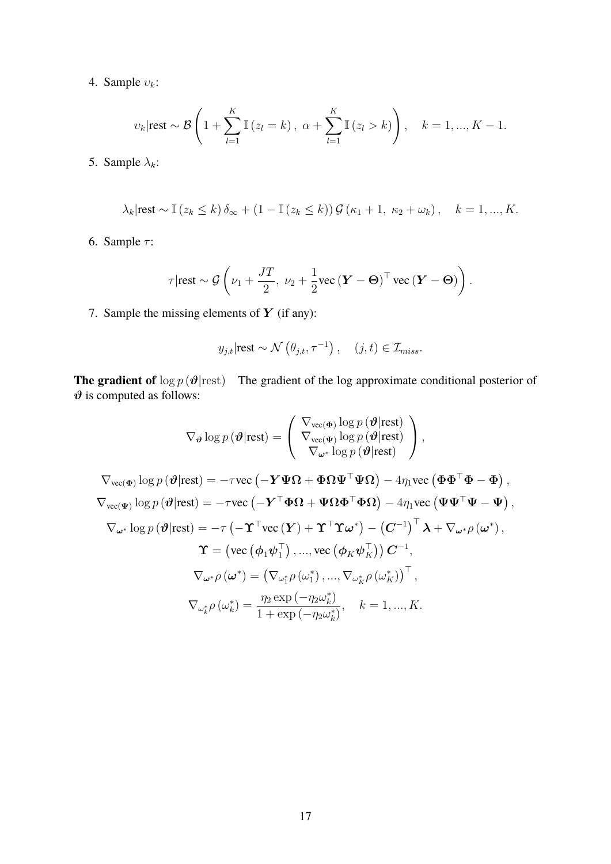4. Sample  $v_k$ :

$$
v_k
$$
|rest ~  $\mathcal{B}\left(1+\sum_{l=1}^K \mathbb{I}\left(z_l=k\right), \ \alpha+\sum_{l=1}^K \mathbb{I}\left(z_l>k\right)\right), \quad k=1,...,K-1.$ 

5. Sample  $\lambda_k$ :

$$
\lambda_k|\text{rest} \sim \mathbb{I}\left(z_k \leq k\right)\delta_{\infty} + \left(1 - \mathbb{I}\left(z_k \leq k\right)\right)\mathcal{G}\left(\kappa_1 + 1, \ \kappa_2 + \omega_k\right), \quad k = 1, ..., K.
$$

6. Sample  $\tau$ :

$$
\tau \vert \text{rest} \sim \mathcal{G}\left(\nu_1 + \frac{JT}{2}, \ \nu_2 + \frac{1}{2} \text{vec}\left(\boldsymbol{Y} - \boldsymbol{\Theta}\right)^{\top} \text{vec}\left(\boldsymbol{Y} - \boldsymbol{\Theta}\right)\right).
$$

7. Sample the missing elements of  $Y$  (if any):

$$
y_{j,t}|\text{rest} \sim \mathcal{N}(\theta_{j,t}, \tau^{-1}), \quad (j,t) \in \mathcal{I}_{miss}.
$$

**The gradient of**  $\log p(\theta|\text{rest})$  The gradient of the log approximate conditional posterior of  $\vartheta$  is computed as follows:

$$
\nabla_{\theta} \log p(\theta|\text{rest}) = \begin{pmatrix}\n\nabla_{\text{vec}(\Phi)} \log p(\theta|\text{rest}) \\
\nabla_{\text{vec}(\Phi)} \log p(\theta|\text{rest})\n\end{pmatrix},
$$
\n
$$
\nabla_{\text{vec}(\Phi)} \log p(\theta|\text{rest}) = -\tau \text{vec}(-\mathbf{Y}\mathbf{\Psi}\Omega + \mathbf{\Phi}\Omega\mathbf{\Psi}^{\top}\mathbf{\Psi}\Omega) - 4\eta_{1} \text{vec}(\mathbf{\Phi}\mathbf{\Phi}^{\top}\mathbf{\Phi} - \mathbf{\Phi}),
$$
\n
$$
\nabla_{\text{vec}(\Phi)} \log p(\theta|\text{rest}) = -\tau \text{vec}(-\mathbf{Y}^{\top}\mathbf{\Phi}\Omega + \mathbf{\Psi}\Omega\mathbf{\Phi}^{\top}\mathbf{\Phi}\Omega) - 4\eta_{1} \text{vec}(\mathbf{\Phi}\mathbf{\Phi}^{\top}\mathbf{\Phi} - \mathbf{\Phi}),
$$
\n
$$
\nabla_{\omega^{*}} \log p(\theta|\text{rest}) = -\tau \text{vec}(-\mathbf{Y}^{\top}\mathbf{\Phi}\Omega + \mathbf{\Psi}\Omega\mathbf{\Phi}^{\top}\mathbf{\Phi}\Omega) - 4\eta_{1} \text{vec}(\mathbf{\Psi}\mathbf{\Psi}^{\top}\mathbf{\Psi} - \mathbf{\Psi}),
$$
\n
$$
\nabla_{\omega^{*}} \log p(\theta|\text{rest}) = -\tau(-\mathbf{\Upsilon}^{\top}\text{vec}(\mathbf{Y}) + \mathbf{\Upsilon}^{\top}\mathbf{\Upsilon}\omega^{*}) - (\mathbf{C}^{-1})^{\top}\mathbf{\lambda} + \nabla_{\omega^{*}\rho}(\omega^{*}),
$$
\n
$$
\mathbf{\Upsilon} = (\text{vec}(\phi_{1}\psi_{1}^{\top}), ..., \text{vec}(\phi_{K}\psi_{K}^{\top}))\mathbf{C}^{-1},
$$
\n
$$
\nabla_{\omega^{*}\rho}(\omega^{*}) = (\nabla_{\omega_{1}^{*}\rho}(\omega_{1}^{*}), ..., \nabla_{\omega_{K}^{*}\rho}(\omega_{K}^{*}))^{\top},
$$
\n
$$
\nabla_{\omega_{k}^{*}\rho}(\omega_{k}^{*}) = \frac{\eta_{2}\exp(-\eta_{2}\omega_{k}^{*})}{1 + \exp(-\eta_{2
$$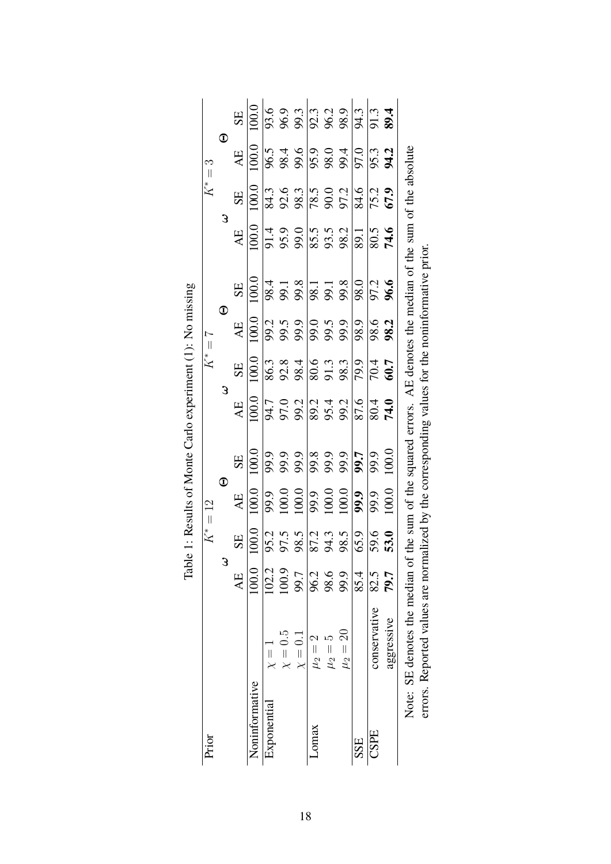| Prior          |                                                                                                                |              | $K^* = 12$                                               |                                                                                                                                                                                                                                                                                                       |                                                                          |                                                                                                                                                                                                                                                                                                                                                      | $K^*=7$                                                                                                            |                   |                                                                                             |                           |                                                                         | $K^*=3$            |       |
|----------------|----------------------------------------------------------------------------------------------------------------|--------------|----------------------------------------------------------|-------------------------------------------------------------------------------------------------------------------------------------------------------------------------------------------------------------------------------------------------------------------------------------------------------|--------------------------------------------------------------------------|------------------------------------------------------------------------------------------------------------------------------------------------------------------------------------------------------------------------------------------------------------------------------------------------------------------------------------------------------|--------------------------------------------------------------------------------------------------------------------|-------------------|---------------------------------------------------------------------------------------------|---------------------------|-------------------------------------------------------------------------|--------------------|-------|
|                |                                                                                                                | 3            |                                                          | $\mathbf 0$                                                                                                                                                                                                                                                                                           |                                                                          | З                                                                                                                                                                                                                                                                                                                                                    |                                                                                                                    | $\mathbf 0$       |                                                                                             | 3                         |                                                                         | $\mathbf 0$        |       |
|                |                                                                                                                | AE           | <b>SE</b>                                                | AE                                                                                                                                                                                                                                                                                                    | SE                                                                       | AE                                                                                                                                                                                                                                                                                                                                                   | SE                                                                                                                 | AE                | SE                                                                                          | AE                        | SE                                                                      | AE                 | SE    |
| Noninformative |                                                                                                                | 100.0        | 100.0                                                    | 100.0                                                                                                                                                                                                                                                                                                 | 100.0                                                                    | 100.0                                                                                                                                                                                                                                                                                                                                                | 100.0                                                                                                              | $\frac{100}{100}$ | 100.0                                                                                       | $\frac{0.001}{\sqrt{10}}$ | 100.0                                                                   | $\overline{100.0}$ | 100.0 |
| Exponential    | $\chi = 1$                                                                                                     | 102.2        |                                                          |                                                                                                                                                                                                                                                                                                       |                                                                          |                                                                                                                                                                                                                                                                                                                                                      |                                                                                                                    |                   |                                                                                             |                           |                                                                         |                    |       |
|                | $\chi=0.5$                                                                                                     | 100.9        |                                                          |                                                                                                                                                                                                                                                                                                       |                                                                          |                                                                                                                                                                                                                                                                                                                                                      |                                                                                                                    |                   |                                                                                             |                           |                                                                         |                    |       |
|                | $\chi=0.1$                                                                                                     | 99.7         | $35.5$<br>$35.5$<br>$35.5$<br>$35.5$<br>$35.5$<br>$35.5$ |                                                                                                                                                                                                                                                                                                       |                                                                          |                                                                                                                                                                                                                                                                                                                                                      |                                                                                                                    |                   | $\frac{38}{30}$<br>$\frac{38}{30}$<br>$\frac{38}{30}$<br>$\frac{38}{30}$<br>$\frac{38}{30}$ |                           | $\sqrt{\frac{3}{8}}$<br>$\frac{6}{8}$<br>$\frac{3}{8}$<br>$\frac{3}{8}$ |                    |       |
| Lomax          | $\mu_2 =$                                                                                                      |              |                                                          |                                                                                                                                                                                                                                                                                                       |                                                                          |                                                                                                                                                                                                                                                                                                                                                      |                                                                                                                    |                   |                                                                                             |                           |                                                                         |                    |       |
|                | $\mu_2 =$                                                                                                      | 96.2<br>98.6 |                                                          |                                                                                                                                                                                                                                                                                                       |                                                                          |                                                                                                                                                                                                                                                                                                                                                      |                                                                                                                    |                   |                                                                                             |                           |                                                                         |                    |       |
|                | $\mu_2=20$                                                                                                     | 99.9         |                                                          |                                                                                                                                                                                                                                                                                                       |                                                                          |                                                                                                                                                                                                                                                                                                                                                      |                                                                                                                    |                   |                                                                                             |                           | $\frac{8}{8}$<br>$\frac{8}{8}$<br>$\frac{6}{8}$<br>$\frac{14}{8}$       |                    |       |
| SSE            |                                                                                                                | 85.4         |                                                          |                                                                                                                                                                                                                                                                                                       |                                                                          |                                                                                                                                                                                                                                                                                                                                                      |                                                                                                                    |                   |                                                                                             |                           |                                                                         |                    |       |
| CSPE           | conservative                                                                                                   | 82.5         |                                                          |                                                                                                                                                                                                                                                                                                       |                                                                          |                                                                                                                                                                                                                                                                                                                                                      |                                                                                                                    |                   |                                                                                             |                           |                                                                         |                    |       |
|                | aggressive                                                                                                     | 79.7         | 59.6<br>53.0                                             | $\begin{array}{r} 9.9,0.0 \\ 9.0.0 \\ 100.0 \\ 100.0 \\ 9.0 \\ 100.0 \\ 100.0 \\ 100.0 \\ 100.0 \\ 9.0 \\ 9.0 \\ 100.0 \\ 100.0 \\ 100.0 \\ 100.0 \\ 100.0 \\ 100.0 \\ 100.0 \\ 100.0 \\ 100.0 \\ 100.0 \\ 100.0 \\ 100.0 \\ 100.0 \\ 100.0 \\ 100.0 \\ 100.0 \\ 100.0 \\ 100.0 \\ 100.0 \\ 100.0 \\$ | 9, 9, 9, 18, 9, 9, <mark>1,</mark> 19, 9, 9<br>8, 8, 8, 8, 8, 8, 8, 8, 9 | $\frac{1}{2}$<br>$\frac{1}{2}$<br>$\frac{1}{2}$<br>$\frac{1}{2}$<br>$\frac{1}{2}$<br>$\frac{1}{2}$<br>$\frac{1}{2}$<br>$\frac{1}{2}$<br>$\frac{1}{2}$<br>$\frac{1}{2}$<br>$\frac{1}{2}$<br>$\frac{1}{2}$<br>$\frac{1}{2}$<br>$\frac{1}{2}$<br>$\frac{1}{2}$<br>$\frac{1}{2}$<br>$\frac{1}{2}$<br>$\frac{1}{2}$<br>$\frac{1}{2}$<br>$\frac{1}{2}$<br> | $86.3$<br>$8.3$<br>$8.3$<br>$8.3$<br>$8.3$<br>$8.3$<br>$8.3$<br>$8.3$<br>$8.3$<br>$8.3$<br>$8.3$<br>$8.3$<br>$8.3$ |                   | 97.2<br>96.6                                                                                |                           | $\frac{75.2}{67.9}$                                                     | 963890933900933    |       |
|                | Note: SE denotes the median of the sum of the squared errors. AE denotes the median of the sum of the absolute |              |                                                          |                                                                                                                                                                                                                                                                                                       |                                                                          |                                                                                                                                                                                                                                                                                                                                                      |                                                                                                                    |                   |                                                                                             |                           |                                                                         |                    |       |
|                | errors. Reported values are norm                                                                               |              |                                                          |                                                                                                                                                                                                                                                                                                       |                                                                          |                                                                                                                                                                                                                                                                                                                                                      |                                                                                                                    |                   | nalized by the corresponding values for the noninformative prior.                           |                           |                                                                         |                    |       |

| とうちこうさく                               |
|---------------------------------------|
| י<br>י                                |
|                                       |
| n at Monta Carlo avnarimant<br>İ<br>i |
| l                                     |
| J<br>$\vdots$<br>------               |
| 32.12.20                              |
| ۱<br>i<br>l                           |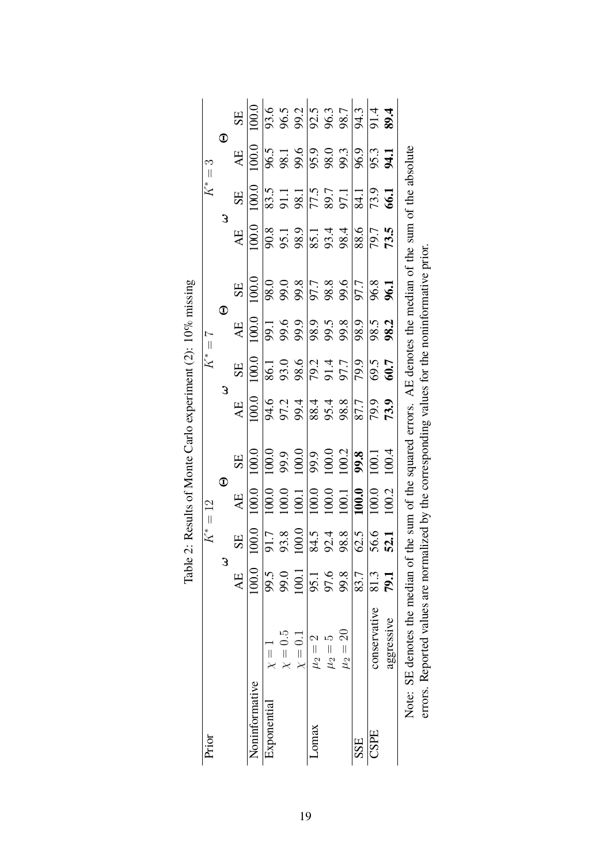| Prior          |                                                                                                                |             | $K^* = 12$                                                                                                |                       |                                                                                                                                                                                            |                                                                                                                                                                                                                           | $K^*=7$                        |                                                                                                                                                                                                                                                                                                                     |                                                                  |                    |                                                                                                                                                      | $K^* = 3$          |                                                                                                                                                                                                                                                                                                                       |
|----------------|----------------------------------------------------------------------------------------------------------------|-------------|-----------------------------------------------------------------------------------------------------------|-----------------------|--------------------------------------------------------------------------------------------------------------------------------------------------------------------------------------------|---------------------------------------------------------------------------------------------------------------------------------------------------------------------------------------------------------------------------|--------------------------------|---------------------------------------------------------------------------------------------------------------------------------------------------------------------------------------------------------------------------------------------------------------------------------------------------------------------|------------------------------------------------------------------|--------------------|------------------------------------------------------------------------------------------------------------------------------------------------------|--------------------|-----------------------------------------------------------------------------------------------------------------------------------------------------------------------------------------------------------------------------------------------------------------------------------------------------------------------|
|                |                                                                                                                | 3           |                                                                                                           | $\mathbf D$           |                                                                                                                                                                                            | 3                                                                                                                                                                                                                         |                                | $\overline{\mathbb{O}}$                                                                                                                                                                                                                                                                                             |                                                                  | 3                  |                                                                                                                                                      | $\mathbf 0$        |                                                                                                                                                                                                                                                                                                                       |
|                |                                                                                                                | AE          | SE                                                                                                        | AE                    | SE                                                                                                                                                                                         | AE                                                                                                                                                                                                                        | SE                             | AE                                                                                                                                                                                                                                                                                                                  | SE                                                               | AE                 | SE                                                                                                                                                   | AE                 | SE                                                                                                                                                                                                                                                                                                                    |
| Noninformative |                                                                                                                | 100.0       | 100.0                                                                                                     | $\overline{100.0}$    | $\overline{100.0}$                                                                                                                                                                         | $\overline{100.0}$                                                                                                                                                                                                        | 100.0                          | $\frac{1}{100}$                                                                                                                                                                                                                                                                                                     | 100.0                                                            | $\overline{100.0}$ | 100.0                                                                                                                                                | $\overline{100.0}$ | 100.0                                                                                                                                                                                                                                                                                                                 |
| Exponential    | $\frac{1}{\chi}$                                                                                               | 99.5        |                                                                                                           |                       |                                                                                                                                                                                            |                                                                                                                                                                                                                           |                                |                                                                                                                                                                                                                                                                                                                     |                                                                  |                    |                                                                                                                                                      |                    |                                                                                                                                                                                                                                                                                                                       |
|                | $\chi=0.5$                                                                                                     | 99.0        |                                                                                                           |                       |                                                                                                                                                                                            |                                                                                                                                                                                                                           |                                |                                                                                                                                                                                                                                                                                                                     |                                                                  |                    |                                                                                                                                                      |                    |                                                                                                                                                                                                                                                                                                                       |
|                | $\chi=0.1$                                                                                                     | 100.1       | $\frac{17}{91.38}$<br>$\frac{38.3}{91.38}$<br>$\frac{1}{81.48}$<br>$\frac{1}{81.48}$<br>$\frac{1}{81.58}$ |                       |                                                                                                                                                                                            |                                                                                                                                                                                                                           |                                |                                                                                                                                                                                                                                                                                                                     |                                                                  |                    |                                                                                                                                                      |                    | $9.5$ $\frac{6}{3}$ $\frac{6}{3}$ $\frac{1}{3}$ $\frac{1}{3}$ $\frac{1}{3}$ $\frac{1}{3}$ $\frac{1}{3}$ $\frac{1}{3}$ $\frac{1}{3}$ $\frac{1}{3}$ $\frac{1}{3}$ $\frac{1}{3}$ $\frac{1}{3}$ $\frac{1}{3}$ $\frac{1}{3}$ $\frac{1}{3}$ $\frac{1}{3}$ $\frac{1}{3}$ $\frac{1}{3}$ $\frac{1}{3}$ $\frac{1}{3}$ $\frac{1$ |
| Lomax          | $\mu_2 =$                                                                                                      | 95.1        |                                                                                                           |                       |                                                                                                                                                                                            |                                                                                                                                                                                                                           |                                |                                                                                                                                                                                                                                                                                                                     |                                                                  |                    |                                                                                                                                                      |                    |                                                                                                                                                                                                                                                                                                                       |
|                | $\mu_2 =$                                                                                                      | 97.6        |                                                                                                           |                       |                                                                                                                                                                                            |                                                                                                                                                                                                                           |                                |                                                                                                                                                                                                                                                                                                                     |                                                                  |                    |                                                                                                                                                      |                    |                                                                                                                                                                                                                                                                                                                       |
|                | $\mu_2=20$                                                                                                     | 99.8        |                                                                                                           |                       |                                                                                                                                                                                            |                                                                                                                                                                                                                           |                                |                                                                                                                                                                                                                                                                                                                     |                                                                  |                    |                                                                                                                                                      |                    |                                                                                                                                                                                                                                                                                                                       |
| SSE            |                                                                                                                | 83.7        |                                                                                                           |                       |                                                                                                                                                                                            |                                                                                                                                                                                                                           |                                |                                                                                                                                                                                                                                                                                                                     |                                                                  |                    |                                                                                                                                                      |                    |                                                                                                                                                                                                                                                                                                                       |
| CSPE           | conservative                                                                                                   | 81.3        |                                                                                                           |                       |                                                                                                                                                                                            |                                                                                                                                                                                                                           |                                |                                                                                                                                                                                                                                                                                                                     |                                                                  |                    |                                                                                                                                                      |                    |                                                                                                                                                                                                                                                                                                                       |
|                | aggressive                                                                                                     | <b>T.er</b> | 56.6<br>52.1                                                                                              | $\frac{100.0}{100.2}$ | $\begin{array}{c c}\n 10000 \\  99.9 \\  1000 \\  \hline\n 1000 \\  \hline\n 1000 \\  \hline\n 1000 \\  \hline\n 1000 \\  \hline\n 1001 \\  \hline\n 1001 \\  \hline\n 1001\n \end{array}$ | $\frac{6}{9}$<br>$\frac{6}{9}$<br>$\frac{6}{9}$<br>$\frac{6}{9}$<br>$\frac{6}{9}$<br>$\frac{6}{9}$<br>$\frac{6}{9}$<br>$\frac{6}{9}$<br>$\frac{6}{9}$<br>$\frac{6}{9}$<br>$\frac{6}{9}$<br>$\frac{6}{9}$<br>$\frac{6}{9}$ | 86.1<br>83.8 8 7 3 7 7 8 8 8 9 | $\frac{1}{2}$ $\frac{6}{3}$ $\frac{6}{3}$ $\frac{6}{3}$ $\frac{1}{3}$ $\frac{6}{3}$ $\frac{6}{3}$ $\frac{1}{3}$ $\frac{6}{3}$ $\frac{6}{3}$ $\frac{6}{3}$ $\frac{6}{3}$ $\frac{6}{3}$ $\frac{6}{3}$ $\frac{6}{3}$ $\frac{6}{3}$ $\frac{6}{3}$ $\frac{6}{3}$ $\frac{6}{3}$ $\frac{6}{3}$ $\frac{1}{3}$ $\frac{1}{2}$ |                                                                  |                    | $\frac{19}{83}$<br>$\frac{11}{83}$<br>$\frac{11}{83}$<br>$\frac{11}{83}$<br>$\frac{11}{83}$<br>$\frac{11}{83}$<br>$\frac{11}{83}$<br>$\frac{11}{83}$ | 9.59999999999777   |                                                                                                                                                                                                                                                                                                                       |
|                | Note: SE denotes the median of the sum of the squared errors. AE denotes the median of the sum of the absolute |             |                                                                                                           |                       |                                                                                                                                                                                            |                                                                                                                                                                                                                           |                                |                                                                                                                                                                                                                                                                                                                     |                                                                  |                    |                                                                                                                                                      |                    |                                                                                                                                                                                                                                                                                                                       |
|                | errors. Reported values are norm                                                                               |             |                                                                                                           |                       |                                                                                                                                                                                            |                                                                                                                                                                                                                           |                                |                                                                                                                                                                                                                                                                                                                     | nalized by the corresponding values for the noninformative prior |                    |                                                                                                                                                      |                    |                                                                                                                                                                                                                                                                                                                       |

| くちょう こうかい<br>ξ<br>ï<br>$\tilde{I}$             |
|------------------------------------------------|
| nontal lorlo avnarmar<br>ׇׇ֠֕֡<br>$\mathbf{I}$ |
| <br> <br> <br> <br>;<br>-<br>ม<br>-<br>j<br>Ę  |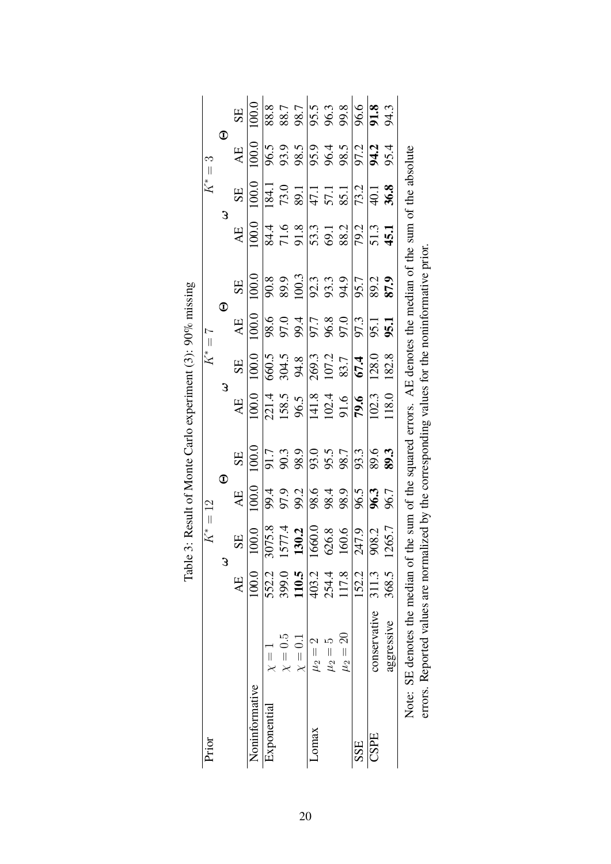| Prior          |                                                                                                                |           | $K^* = 12$        |                                              |                                                                                                                |                                                                                                                                        | $K^*=7$                                          |                                                                                                                                                                                                                                                                                      |                                                                                                                                                       |                                                                   | $K^* = 3$                                                                          |                   |                                                                                                                                                                                                                                                                                              |
|----------------|----------------------------------------------------------------------------------------------------------------|-----------|-------------------|----------------------------------------------|----------------------------------------------------------------------------------------------------------------|----------------------------------------------------------------------------------------------------------------------------------------|--------------------------------------------------|--------------------------------------------------------------------------------------------------------------------------------------------------------------------------------------------------------------------------------------------------------------------------------------|-------------------------------------------------------------------------------------------------------------------------------------------------------|-------------------------------------------------------------------|------------------------------------------------------------------------------------|-------------------|----------------------------------------------------------------------------------------------------------------------------------------------------------------------------------------------------------------------------------------------------------------------------------------------|
|                |                                                                                                                |           | 3                 | $\mathbf 0$                                  |                                                                                                                | 3                                                                                                                                      |                                                  | $\mathbf 0$                                                                                                                                                                                                                                                                          |                                                                                                                                                       | 3                                                                 |                                                                                    | $\bm{\mathbb{O}}$ |                                                                                                                                                                                                                                                                                              |
|                |                                                                                                                | <b>AE</b> | <b>SE</b>         | AE                                           | SE                                                                                                             | AE                                                                                                                                     | SE                                               | AE                                                                                                                                                                                                                                                                                   | SE                                                                                                                                                    | AE                                                                | SE                                                                                 | AE                | SE                                                                                                                                                                                                                                                                                           |
| Noninformative |                                                                                                                | 100.0     | 100.0             | 100.0                                        | 100.0                                                                                                          | 100.0                                                                                                                                  | 100.0                                            | 100.0                                                                                                                                                                                                                                                                                | 100.0                                                                                                                                                 | 100.0                                                             | 100.0                                                                              | 100.0             | 100.0                                                                                                                                                                                                                                                                                        |
| Exponential    | $\frac{1}{x}$                                                                                                  | 552.2     | 8.520<br>$\omega$ |                                              |                                                                                                                |                                                                                                                                        |                                                  |                                                                                                                                                                                                                                                                                      |                                                                                                                                                       |                                                                   |                                                                                    |                   |                                                                                                                                                                                                                                                                                              |
|                | $\chi=0.5$                                                                                                     | 399.0     |                   |                                              |                                                                                                                |                                                                                                                                        |                                                  |                                                                                                                                                                                                                                                                                      |                                                                                                                                                       |                                                                   |                                                                                    |                   |                                                                                                                                                                                                                                                                                              |
|                | $\chi=0.1$                                                                                                     | 110.5     | 1577.4<br>130.2   | 99.2<br>97.9<br>98.8<br>99.2<br>98.4<br>98.9 | $\frac{17}{90}$<br>$\frac{36}{90}$<br>$\frac{36}{90}$<br>$\frac{36}{90}$<br>$\frac{36}{90}$<br>$\frac{36}{90}$ | $\begin{array}{c c}\n 2114 \\  \hline\n 158.5 \\  \hline\n 96.5 \\  \hline\n 141.8 \\  \hline\n 102.4 \\  \hline\n 79.6\n \end{array}$ | 660.5<br>304.5<br>94.8<br>269.3<br>107.7<br>67.4 |                                                                                                                                                                                                                                                                                      | $\frac{8}{9}$<br>$\frac{3}{8}$<br>$\frac{3}{9}$<br>$\frac{3}{8}$<br>$\frac{3}{8}$<br>$\frac{3}{8}$<br>$\frac{3}{8}$<br>$\frac{3}{8}$<br>$\frac{3}{8}$ | $\frac{14.5}{71.6}$<br>$\frac{13.3}{71.3}$<br>$\frac{13.3}{71.2}$ | $\frac{184.1}{73.0}$<br>73.0<br>$\frac{89.1}{47.1}$<br>57.1<br>$\frac{85.1}{73.2}$ |                   | $\frac{1}{88}$<br>$\frac{1}{88}$<br>$\frac{1}{88}$<br>$\frac{1}{88}$<br>$\frac{1}{88}$<br>$\frac{1}{88}$<br>$\frac{1}{88}$<br>$\frac{1}{88}$<br>$\frac{1}{88}$<br>$\frac{1}{88}$<br>$\frac{1}{88}$<br>$\frac{1}{88}$<br>$\frac{1}{88}$<br>$\frac{1}{88}$<br>$\frac{1}{88}$<br>$\frac{1}{88}$ |
| <b>Lomax</b>   | $\mu_2=2$                                                                                                      | 403.2     | .660.0            |                                              |                                                                                                                |                                                                                                                                        |                                                  |                                                                                                                                                                                                                                                                                      |                                                                                                                                                       |                                                                   |                                                                                    |                   |                                                                                                                                                                                                                                                                                              |
|                | $\mu_2 =$                                                                                                      | 254.4     | 626.8             |                                              |                                                                                                                |                                                                                                                                        |                                                  |                                                                                                                                                                                                                                                                                      |                                                                                                                                                       |                                                                   |                                                                                    |                   |                                                                                                                                                                                                                                                                                              |
|                | $\mu_2=20$                                                                                                     | 117.8     | 160.6             |                                              |                                                                                                                |                                                                                                                                        |                                                  |                                                                                                                                                                                                                                                                                      |                                                                                                                                                       |                                                                   |                                                                                    |                   |                                                                                                                                                                                                                                                                                              |
| SSE            |                                                                                                                | 152.2     | 247.9             | 96.5                                         |                                                                                                                |                                                                                                                                        |                                                  |                                                                                                                                                                                                                                                                                      |                                                                                                                                                       |                                                                   |                                                                                    |                   |                                                                                                                                                                                                                                                                                              |
| CSPE           | conservative 311.3                                                                                             |           | 908.2             |                                              | 89.6                                                                                                           | 102.3                                                                                                                                  | 128.0                                            |                                                                                                                                                                                                                                                                                      |                                                                                                                                                       |                                                                   |                                                                                    |                   |                                                                                                                                                                                                                                                                                              |
|                | aggressive                                                                                                     | 368.5     | 265.7             | 96.3<br>96.7                                 | 89.3                                                                                                           | 118.0                                                                                                                                  | 182.8                                            | $\begin{array}{l} 6.676 & 0.676 \\ 0.676 & 0.676 \\ 0.676 & 0.676 \\ 0.676 & 0.676 \\ 0.676 & 0.676 \\ 0.676 & 0.676 \\ 0.676 & 0.676 \\ 0.676 & 0.676 \\ 0.676 & 0.676 \\ 0.676 & 0.676 \\ 0.676 & 0.676 \\ 0.676 & 0.676 \\ 0.676 & 0.676 \\ 0.676 & 0.676 \\ 0.676 & 0.676 \\ 0.$ | 87.9                                                                                                                                                  | 51.3<br>45.1                                                      | $\frac{40.1}{36.8}$                                                                |                   |                                                                                                                                                                                                                                                                                              |
|                | Note: SE denotes the median of the sum of the squared errors. AE denotes the median of the sum of the absolute |           |                   |                                              |                                                                                                                |                                                                                                                                        |                                                  |                                                                                                                                                                                                                                                                                      |                                                                                                                                                       |                                                                   |                                                                                    |                   |                                                                                                                                                                                                                                                                                              |
|                | errors. Reported values are normalized by the corresponding values for the noninformative prior.               |           |                   |                                              |                                                                                                                |                                                                                                                                        |                                                  |                                                                                                                                                                                                                                                                                      |                                                                                                                                                       |                                                                   |                                                                                    |                   |                                                                                                                                                                                                                                                                                              |

| ביני ביני על<br>.00                                                    |
|------------------------------------------------------------------------|
|                                                                        |
|                                                                        |
|                                                                        |
| lueuu ueuxe olus. I<br>ׇ֠<br>֧֧֚֚֚֚֚֚֚֚֚֚֚֚֚֚֚֚֚֚֚֚֚֚֚֚֚֚֚֚֚֚֚֚֬֡֡֡֡֡֝ |
| $\frac{1}{2}$<br>l                                                     |
| $\vdots$<br>$\frac{1}{\sqrt{2}}$<br>;                                  |
| ij                                                                     |
| Ē                                                                      |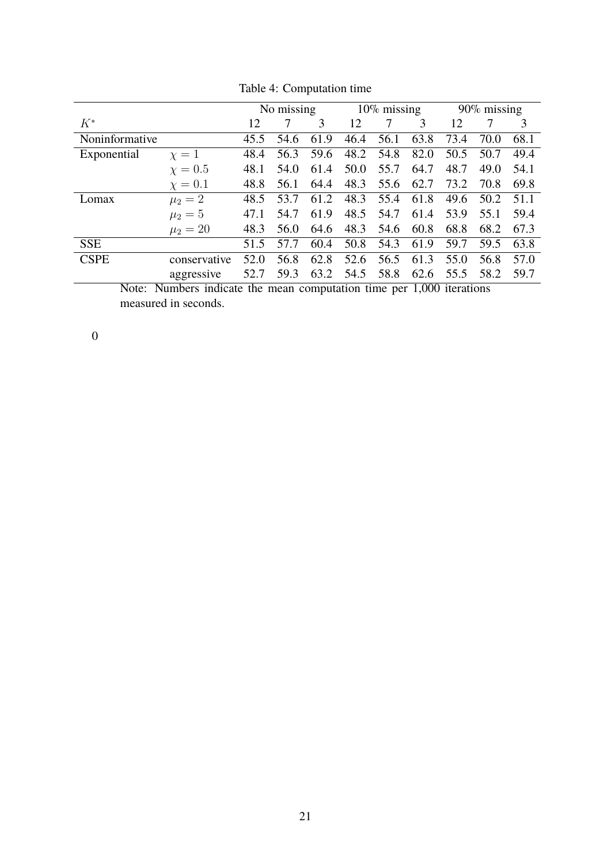|                 |                                                                 |      | No missing |      |      | $10\%$ missing |      |      | $90\%$ missing |      |
|-----------------|-----------------------------------------------------------------|------|------------|------|------|----------------|------|------|----------------|------|
| $K^*$           |                                                                 | 12   | 7          | 3    | 12   |                | 3    | 12   |                | 3    |
| Noninformative  |                                                                 | 45.5 | 54.6       | 61.9 | 46.4 | 56.1           | 63.8 | 73.4 | 70.0           | 68.1 |
| Exponential     | $\chi=1$                                                        | 48.4 | 56.3       | 59.6 | 48.2 | 54.8           | 82.0 | 50.5 | 50.7           | 49.4 |
|                 | $\chi=0.5$                                                      | 48.1 | 54.0       | 61.4 | 50.0 | 55.7           | 64.7 | 48.7 | 49.0           | 54.1 |
|                 | $\chi=0.1$                                                      | 48.8 | 56.1       | 64.4 | 48.3 | 55.6           | 62.7 | 73.2 | 70.8           | 69.8 |
| Lomax           | $\mu_2 = 2$                                                     | 48.5 | 53.7       | 61.2 | 48.3 | 55.4           | 61.8 | 49.6 | 50.2           | 51.1 |
|                 | $\mu_2 = 5$                                                     | 47.1 | 54.7       | 61.9 | 48.5 | 54.7           | 61.4 | 53.9 | 55.1           | 59.4 |
|                 | $\mu_2 = 20$                                                    | 48.3 | 56.0       | 64.6 | 48.3 | 54.6           | 60.8 | 68.8 | 68.2           | 67.3 |
| <b>SSE</b>      |                                                                 | 51.5 | 57.7       | 60.4 | 50.8 | 54.3           | 61.9 | 59.7 | 59.5           | 63.8 |
| <b>CSPE</b>     | conservative                                                    | 52.0 | 56.8       | 62.8 | 52.6 | 56.5           | 61.3 | 55.0 | 56.8           | 57.0 |
|                 | aggressive                                                      | 52.7 | 59.3       | 63.2 | 54.5 | 58.8           | 62.6 | 55.5 | 58.2           | 59.7 |
| $N$ ote $\cdot$ | Numbers indicate the mean computation time per 1 000 iterations |      |            |      |      |                |      |      |                |      |

Table 4: Computation time

Note: Numbers indicate the mean computation time per 1,000 iterations measured in seconds.

0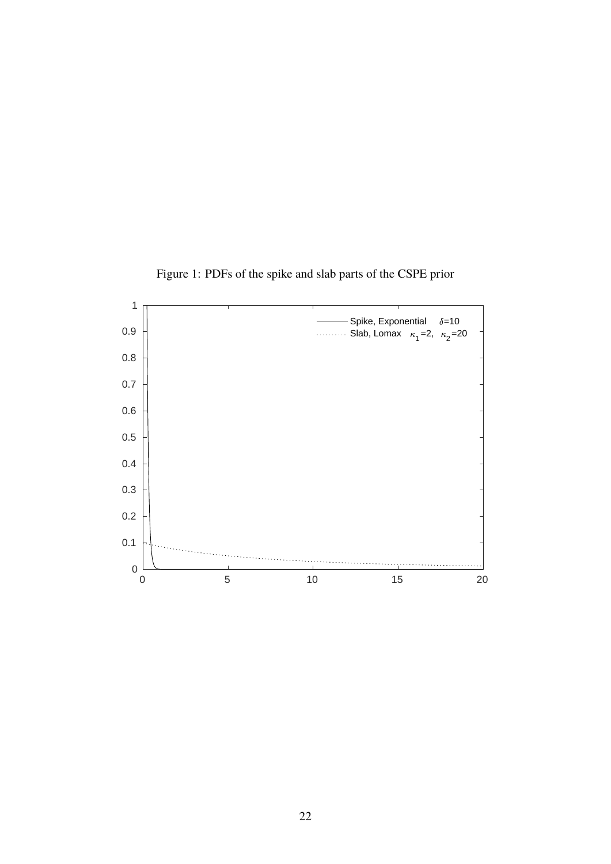

Figure 1: PDFs of the spike and slab parts of the CSPE prior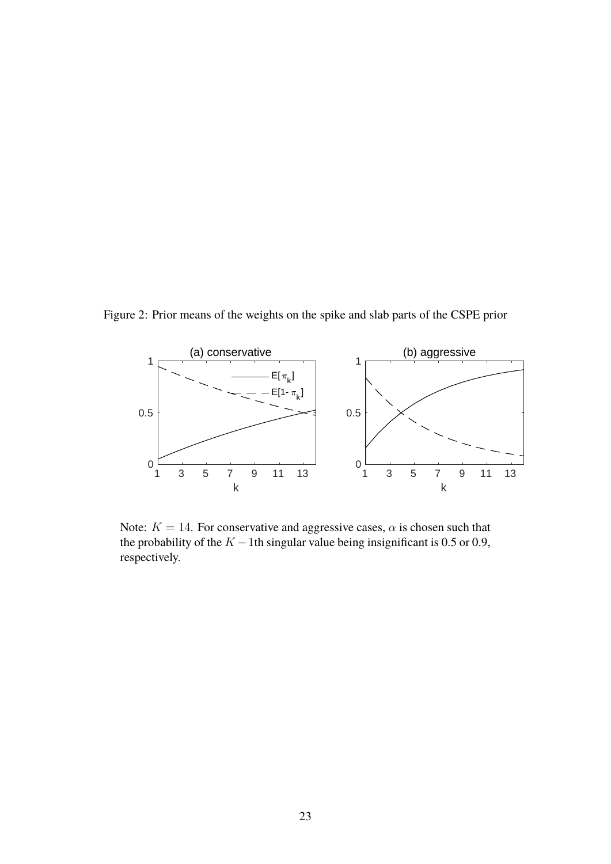Figure 2: Prior means of the weights on the spike and slab parts of the CSPE prior



Note:  $K = 14$ . For conservative and aggressive cases,  $\alpha$  is chosen such that the probability of the  $K - 1$ th singular value being insignificant is 0.5 or 0.9, respectively.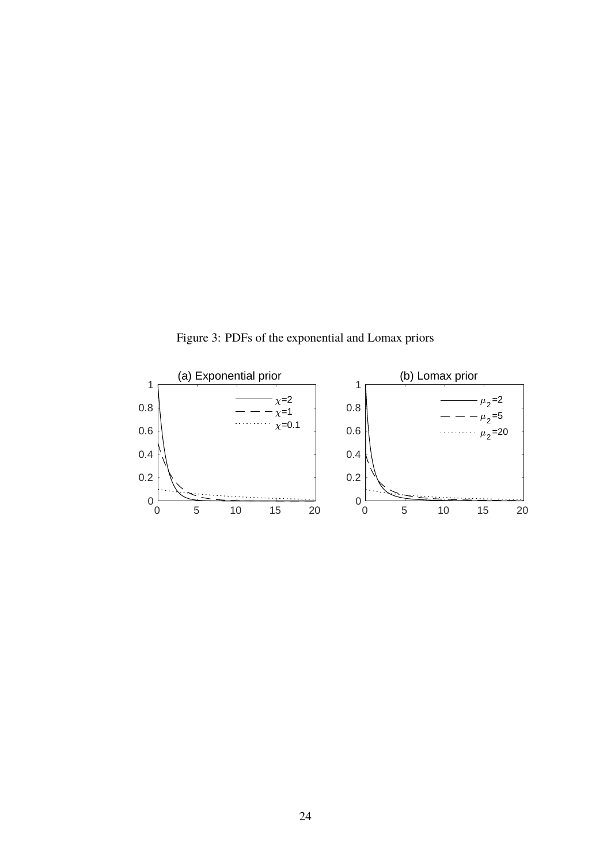Figure 3: PDFs of the exponential and Lomax priors

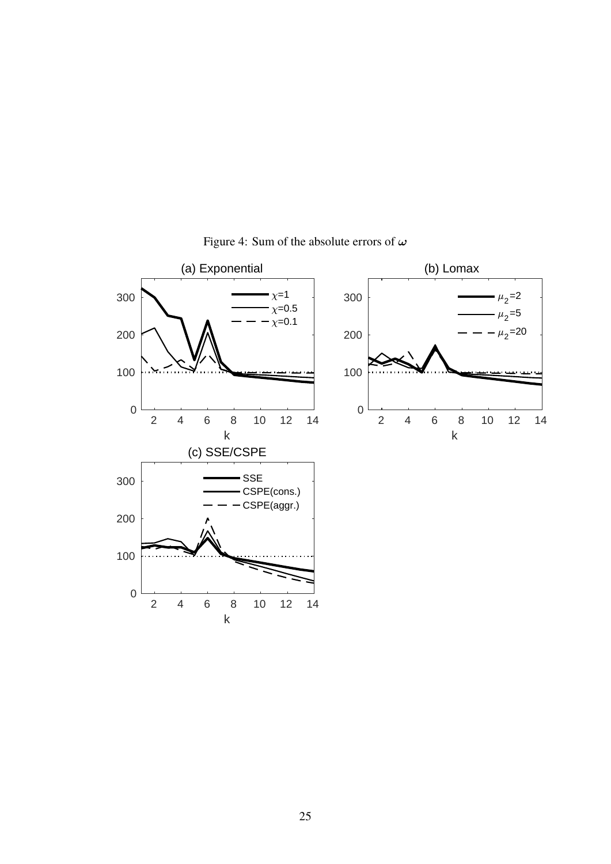

Figure 4: Sum of the absolute errors of  $\omega$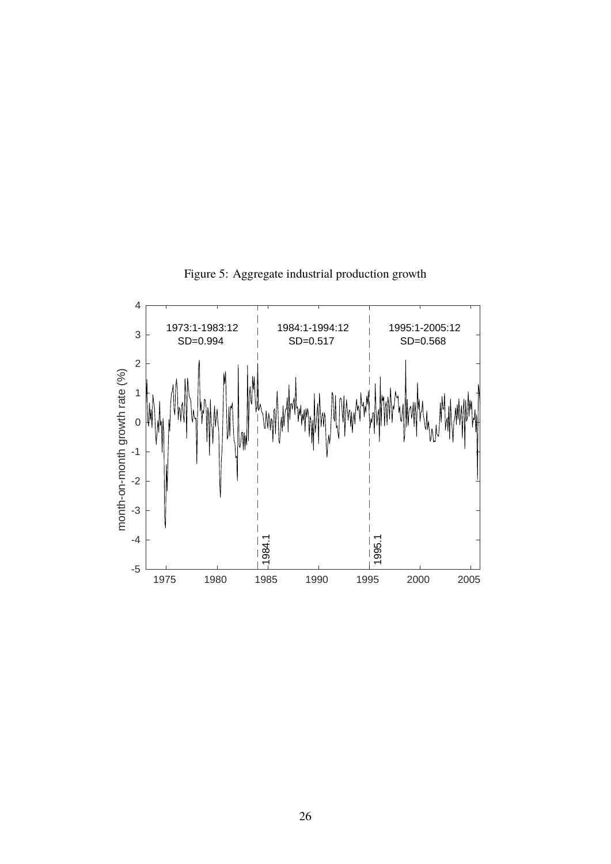

Figure 5: Aggregate industrial production growth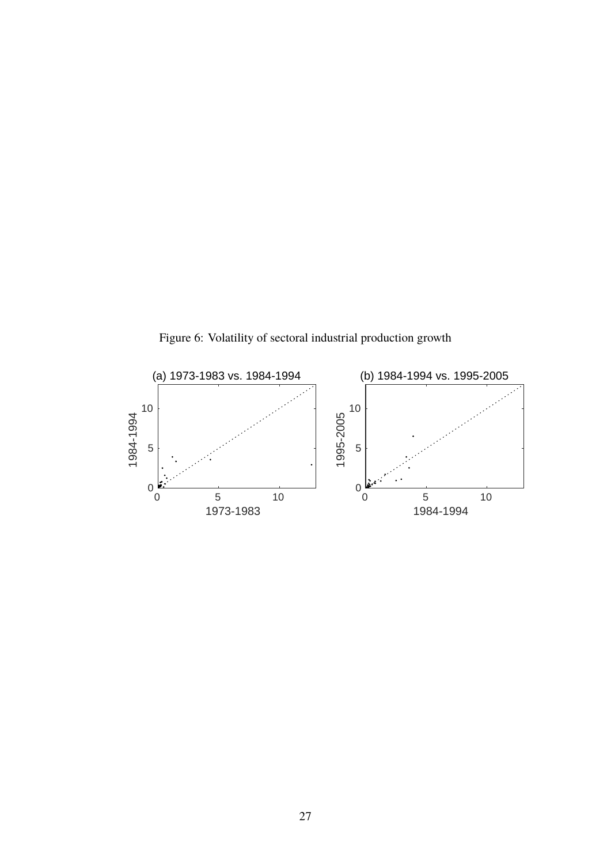Figure 6: Volatility of sectoral industrial production growth

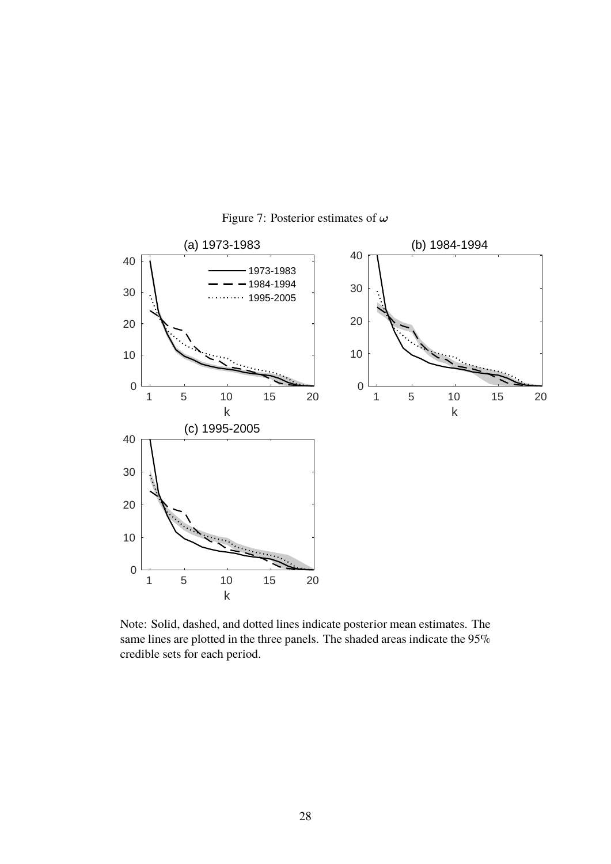

Figure 7: Posterior estimates of  $\omega$ 

Note: Solid, dashed, and dotted lines indicate posterior mean estimates. The same lines are plotted in the three panels. The shaded areas indicate the 95% credible sets for each period.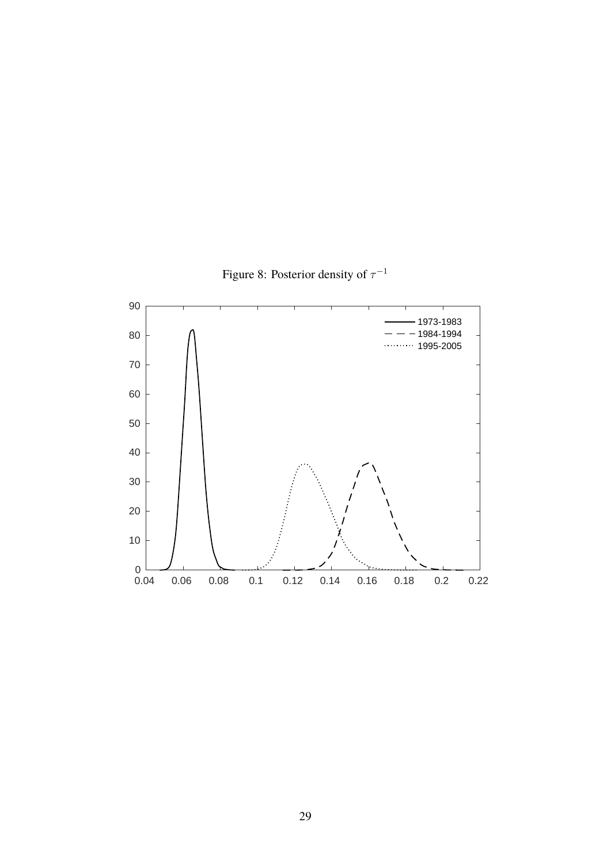

Figure 8: Posterior density of  $\tau^{-1}$